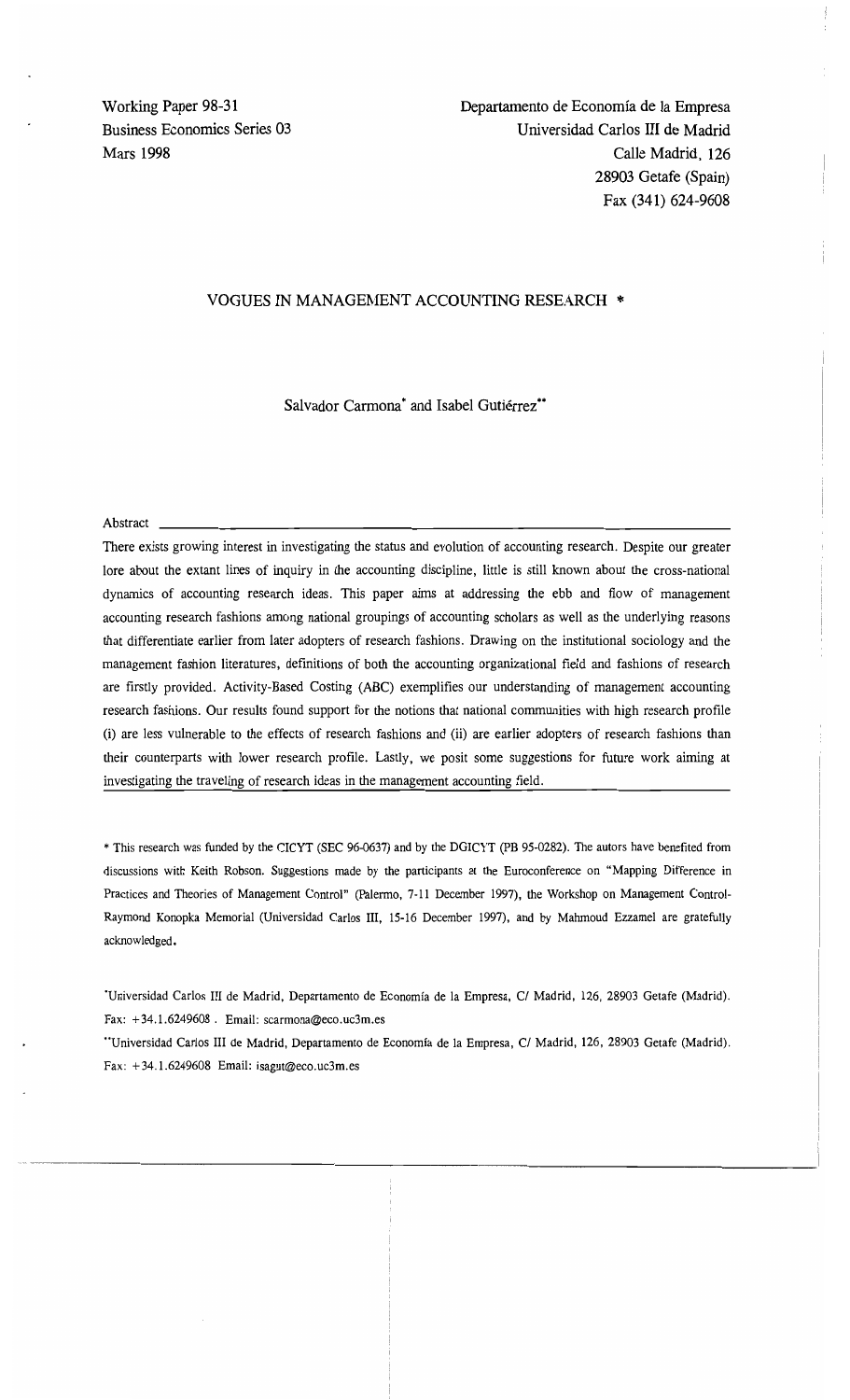Working Paper 98-31 Departamento de Economía de la Empresa Business Economics Series 03 Universidad Carlos III de Madrid Mars 1998 Calle Madrid, 126 28903 Getafe (Spain) Fax (341) 624-9608

#### VOGUES **IN** MANAGEMENT ACCOUNTING RESEARCH \*

Salvador Carmona\* and Isabel Gutiérrez\*\*

#### Abstract

There exists growing interest in investigating the status and evolution of accounting research. Despite our greater lore about the extant lines of inquiry in the accounting discipline, little is still known about the cross-national dynamics of accounting research ideas. This paper aims at addressing the ebb and flow of management accounting research fashions among national groupings of accounting scholars as wel1 as the underlying reasons that differentiate earlier frorn later adopters of research fashions. Drawing on the institutional sociology and the rnanagernent fashion literatures, defmitions of both the accounting organizational field and fashions of research are firstly provided. Activity-Based Costing (ABC) exemplifies our understanding of management accounting research fashions. Our results found support for the notions that national cornmunities with high research profile (i) are less vulnerable to the effects of research fashions and (ii) are earlier adopters of research fashions than their counterparts with lower research profile. Lastly, we posit sorne suggestions for future work aiming at investigating the traveling of research ideas in the management accounting field.

\* This research was funded by the CICYT (SEC 96-0637) and by the DGICYT (pB 95-0282). The autors have benefited from discussions with Keith Robson. Suggestions made by the participants at the Euroconference on "Mapping Difference in Practices and Theories of Management Control" (Palermo, 7-11 December 1997), the Workshop on Management Control- Raymond Konopka Memorial (Universidad Carlos 11I, 15-16 December 1997), and by Mahmoud Ezzamel are gratefully acknowledged.

'Universidad Carlos 11I de Madrid, Departamento de Economía de la Empresa, CI Madrid, 126, 28903 Getafe (Madrid). Fax: +34.1.6249608. Email: scarmona@eco.uc3m.es

"Universidad Carlos 11I de Madrid, Departamento de Economía de la Empresa, CI Madrid, 126, 28903 Getafe (Madrid). Fax: +34.1.6249608 Email: isagut@eco.uc3m.es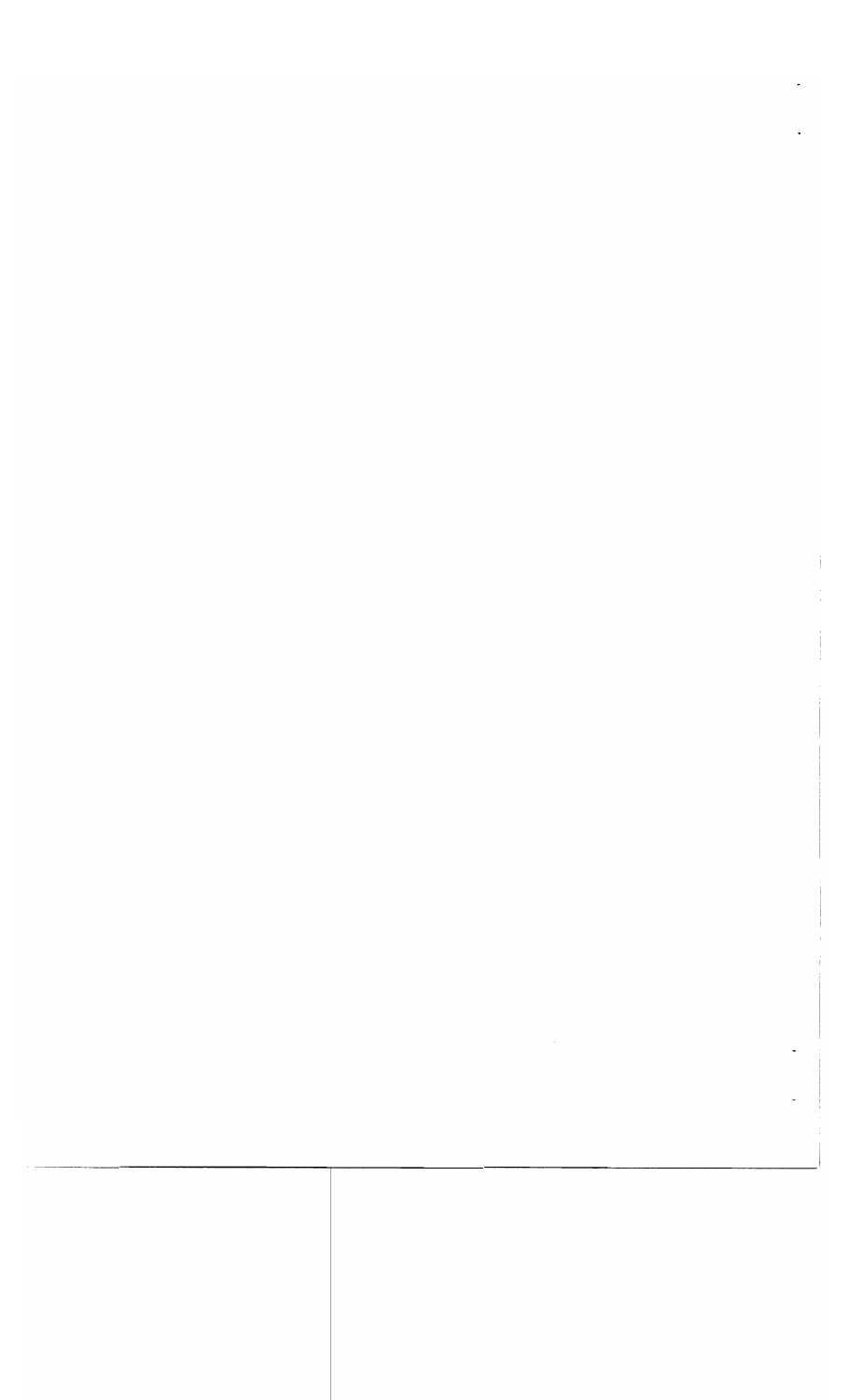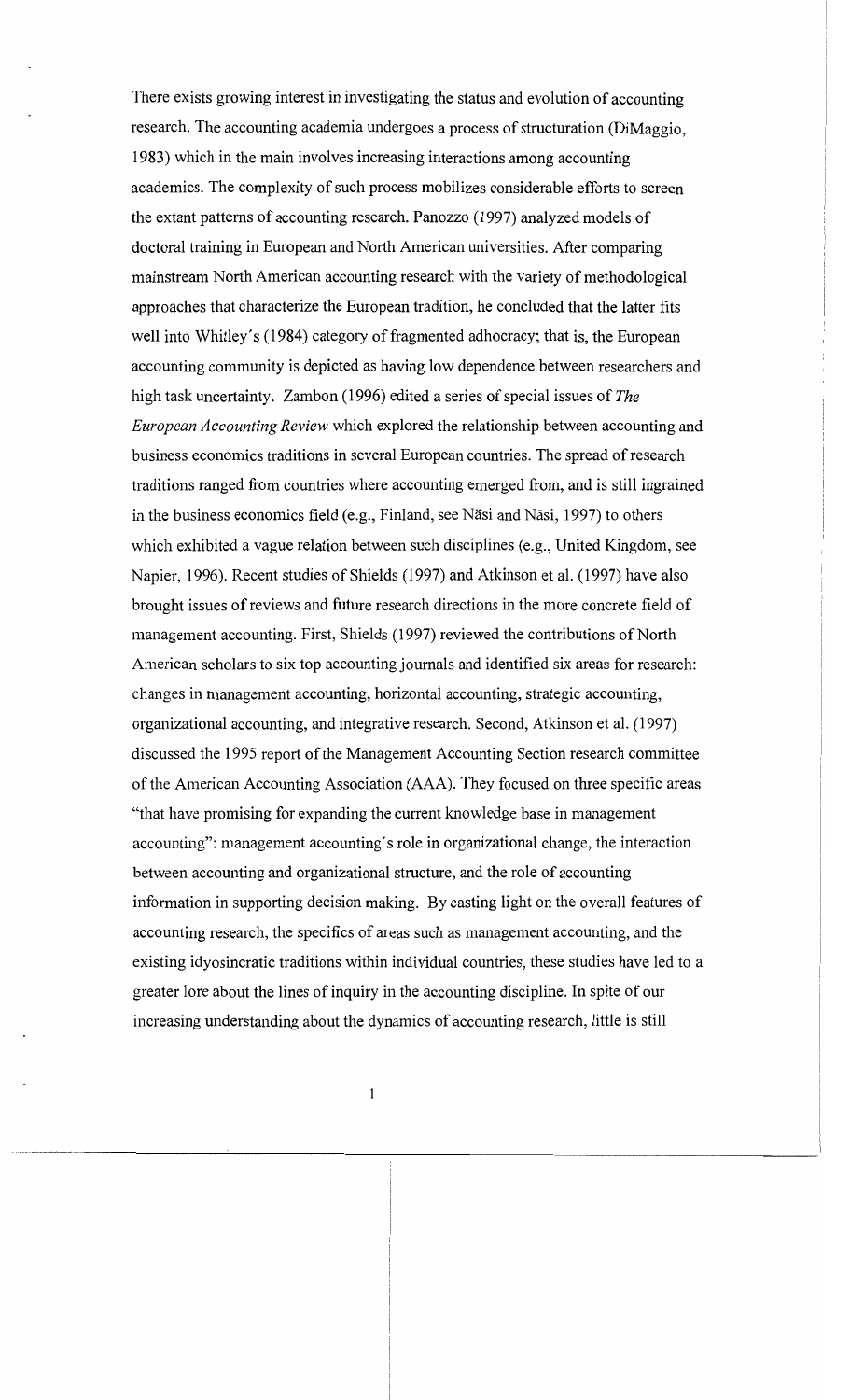There exists growing interest in investigating the status and evolution of accounting research. The accounting academia undergoes a process of structuration (DiMaggio, 1983) which in the main involves increasing interactions among accounting academics. The complexity of such process mobilizes considerable efforts to screen the extant patterns of accounting research. Panozzo (1997) analyzed models of doctoral training in European and North American universities. After comparing mainstream North American accounting research with the variety of methodological approaches that characterize the European tradition, he concluded that the latter fits well into Whitley's (1984) category of fragmented adhocracy; that is, the European accounting community is depicted as having low dependence between researchers and high task uncertainty. Zambon (1996) edited a series of special issues of *The European Accounting Review* which explored the relationship between accounting and business economics traditions in several European countries. The spread of research traditions ranged from countries where accounting emerged from, and is still ingrained in the business economics field (e.g., Finland, see Näsi and Näsi, 1997) to others which exhibited a vague relation between such disciplines (e.g., United Kingdom, see Napier, 1996). Recent studies of Shields (1997) and Atkinson et al. (1997) have also brought issues of reviews and future research directions in the more concrete field of management accounting. First, Shields (1997) reviewed the contributions of North American scholars to six top accounting journals and identified six areas for research: changes in management accounting, horizontal accounting, strategic accounting, organizational accounting, and integrative research. Second, Atkinson et al. (1997) discussed the 1995 report of the Management Accounting Section research committee ofthe American Accounting Association (AAA). They focused on three specific areas "that have promising for expanding the current knowledge base in management accounting": management accounting's role in organizational change, the interaction between accounting and organizational structure, and the role of accounting information in supporting decision making. By casting light on the overall features of accounting research, the specifics of areas such as management accounting, and the existing idyosincratic traditions within individual countries, these studies have led to a greater lore about the lines of inquiry in the accounting discipline. In spite of our increasing understanding about the dynamics of accounting research, little is still

 $\mathbf{1}$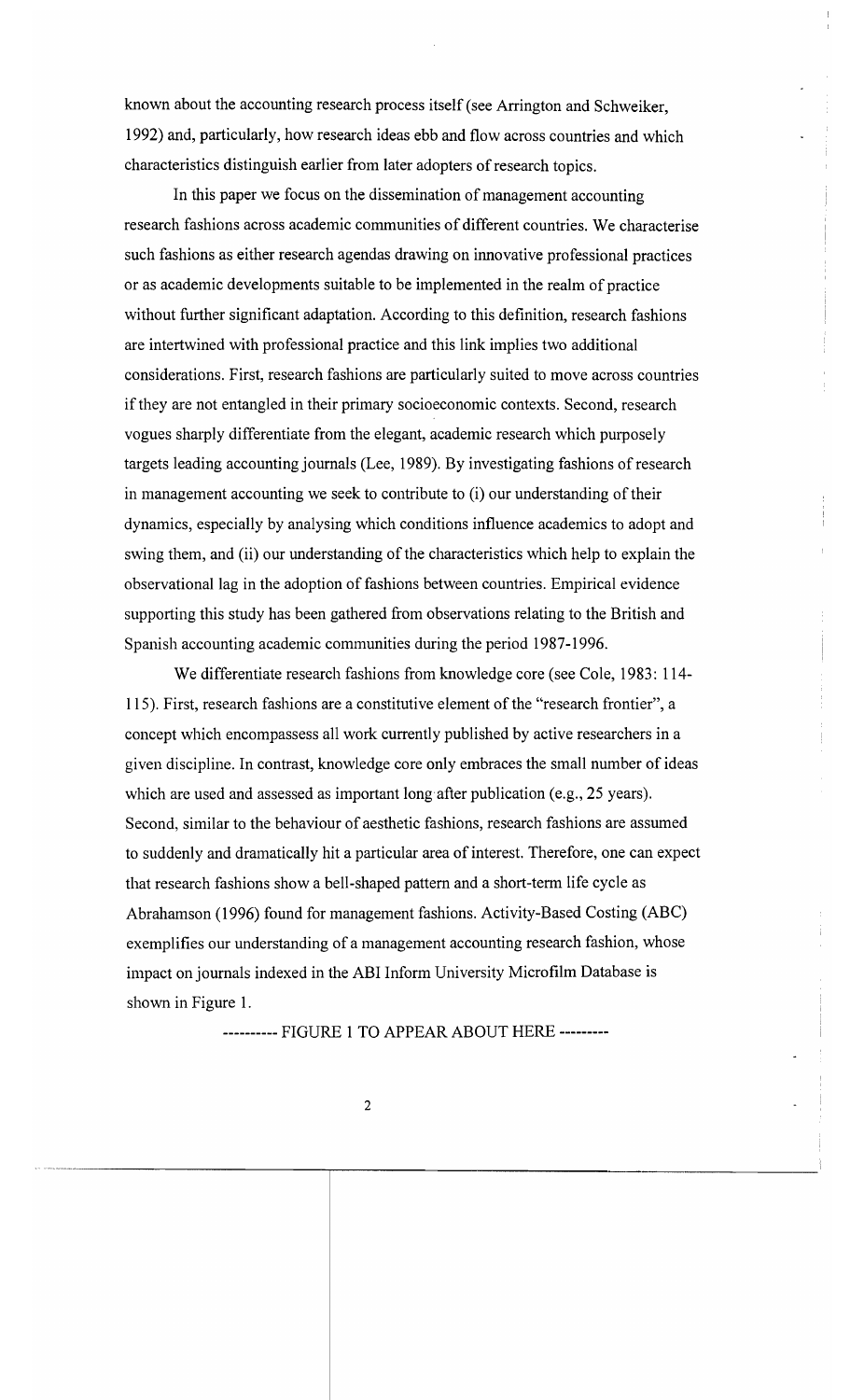known about the accounting research process itself (see Arrington and Schweiker, 1992) and, particularly, how research ideas ebb and flow across countries and which characteristics distinguish earlier from later adopters of research topics.

In this paper we focus on the dissemination of management accounting research fashions across academic communities of different countries. We characterise such fashions as either research agendas drawing on innovative professional practices or as academic developments suitable to be implemented in the realm of practice without further significant adaptation. According to this definition, research fashions are intertwined with professional practice and this link implies two additional considerations. First, research fashions are particularly suited to move across countries if they are not entangled in their primary socioeconomic contexts. Second, research vogues sharply differentiate from the elegant, academic research which purposely targets leading accounting journals (Lee, 1989). By investigating fashions of research in management accounting we seek to contribute to (i) our understanding of their dynamics, especially by analysing which conditions influence academics to adopt and swing them, and (ii) our understanding of the characteristics which help to explain the observational lag in the adoption of fashions between countries. Empirical evidence supporting this study has been gathered from observations relating to the British and Spanish accounting academic communities during the period 1987-1996.

We differentiate research fashions from knowledge core (see Cole, 1983: 114- 115). First, research fashions are a constitutive element of the "research frontier", a concept which encompassess al1 work currently published by active researchers in a given discipline. In contrast, knowledge core only embraces the smal1 number of ideas which are used and assessed as important long after publication (e.g., 25 years). Second, similar to the behaviour of aesthetic fashions, research fashions are assumed to suddenly and dramatical1y hit a particular area of interest. Therefore, one can expect that research fashions show a bell-shaped pattern and a short-term life cycle as Abrahamson (1996) found for management fashions. Activity-Based Costing (ABC) exemplifies our understanding of a management accounting research fashion, whose impact on journals indexed in the ABI Inform University Microfilm Database is shown in Figure 1.

---------- FIGURE 1 TO APPEAR ABOUT HERE ---------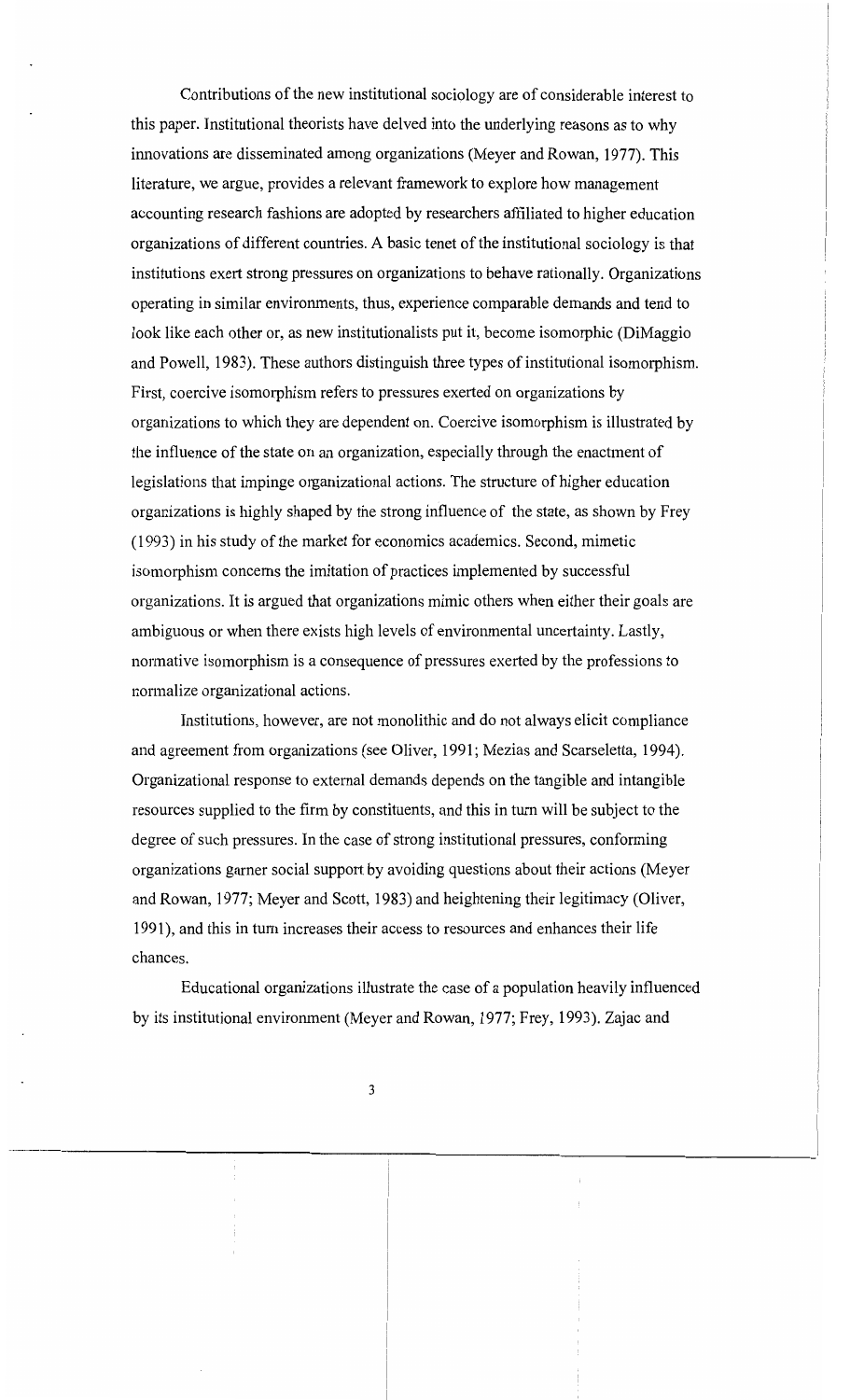Contributions of the new institutional sociology are of considerable interest to this paper. Institutional theorists have delved into the underlying reasons as to why innovations are disseminated among organizations (Meyer and Rowan, 1977). This literature, we argue, provides a relevant framework to explore how management accounting research fashions are adopted by researchers affiliated to higher education organizations of different countries. A basic tenet of the institutional sociology is that institutions exert strong pressures on organizations to behave rational1y. Organizations operating in similar environments, thus, experience comparable demands and tend to look like each other or, as new institutionalists put it, become isomorphic (DiMaggio and Powel1, 1983). These authors distinguish three types of institutional isomorphism. First, coercive isomorphism refers to pressures exerted on organizations by organizations to which they are dependent on. Coercive isomorphism is illustrated by the influence of the state on an organization, especially through the enactment of legislations that impinge organizational actions. The structure of higher education organizations is highly shaped by the strong influence of the state, as shown by Frey  $(1993)$  in his study of the market for economics academics. Second, mimetic isomorphism concerns the imitation of practices implemented by successful organizations. It is argued that organizations mimic others when either their goals are ambiguous or when there exists high levels of environmental uncertainty. Lastly, normative isomorphism is a consequence of pressures exerted by the professions to normalize organizational actions.

Institutions, however, are not monolithic and do not always elicit compliance and agreement from organizations (see Oliver, 1991; Mezias and Scarseletta, 1994). Organizational response to external demands depends on the tangible and intangible resources supplied to the firm by constituents, and this in turn will be subject to the degree of such pressures. In the case of strong institutional pressures, conforming organizations garner social support by avoiding questions about their actions (Meyer and Rowan, 1977; Meyer and Scott, 1983) and heightening their legitimacy (Oliver, 1991), and this in tum increases their access to resources and enhances their life chances.

Educational organizations illustrate the case of a population heavily influenced by its institutional environment (Meyer and Rowan, 1977; Frey, 1993). Zajac and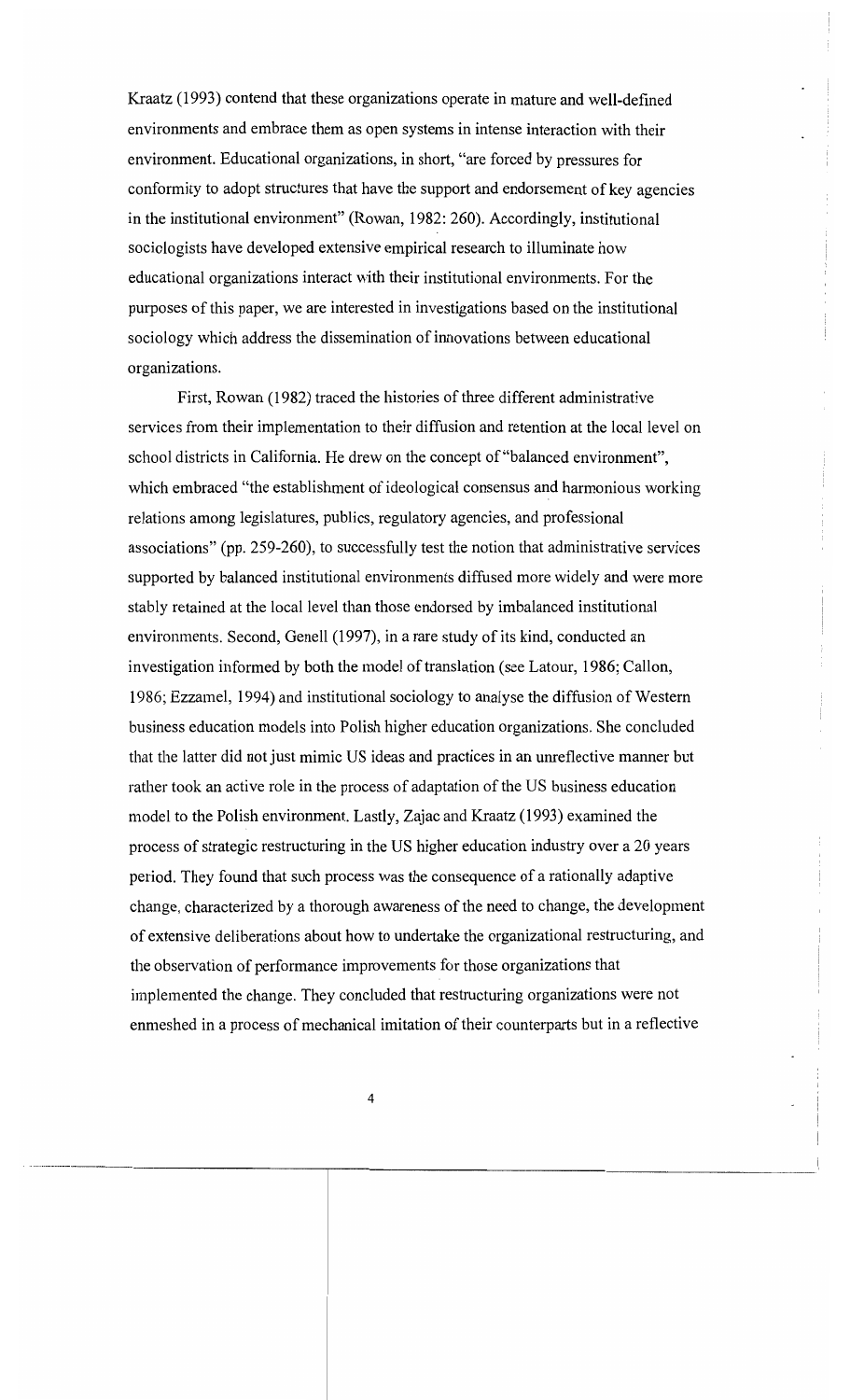Kraatz (1993) contend that these organizations operate in mature and well-defined environrnents and embrace them as open systems in intense interaction with their environrnent. Educational organizations, in short, "are forced by pressures for conformity to adopt structures that have the support and endorsement of key agencies in the institutional environment" (Rowan, 1982: 260). Accordingly, institutional sociologists have developed extensive empirical research to illuminate how educational organizations interact with their institutional environrnents. For the purposes of this paper, we are interested in investigations based on the institutional sociology which address the dissemination of innovations between educational organizations.

First, Rowan (1982) traced the histories of three different administrative services from their implementation to their diffusion and retention at the local level on school districts in California. He drew on the concept of"balanced environment", which embraced "the establishment of ideological consensus and harmonious working relations among legislatures, publics, regulatory agencies, and professional associations" (pp. 259-260), to successfully test the notion that administrative services supported by balanced institutional environments diffused more widely and were more stably retained at the local level than those endorsed by imbalanced institutional environments. Second, Genell (1997), in arare study of its kind, conducted an investigation informed by both the model of translation (see Latour, 1986; Callon, 1986; Ezzamel, 1994) and institutional sociology to analyse the diffusion of Western business education models into Polish higher education organizations. She concluded that the latter did not just mimic US ideas and practices in an unreflective manner but rather took an active role in the process of adaptation of the US business education model to the Polish environment. Lastly, Zajac and Kraatz (1993) examined the process of strategic restructuring in the US higher education industry over a 20 years period. They found that such process was the consequence of a rationally adaptive change, characterized by a thorough awareness of the need to change, the development of extensive deliberations about how to undertake the organizational restructuring, and the observation of performance improvements for those organizations that implemented the change. They concluded that restructuring organizations were not enmeshed in a process of mechanical imitation of their counterparts but in a reflective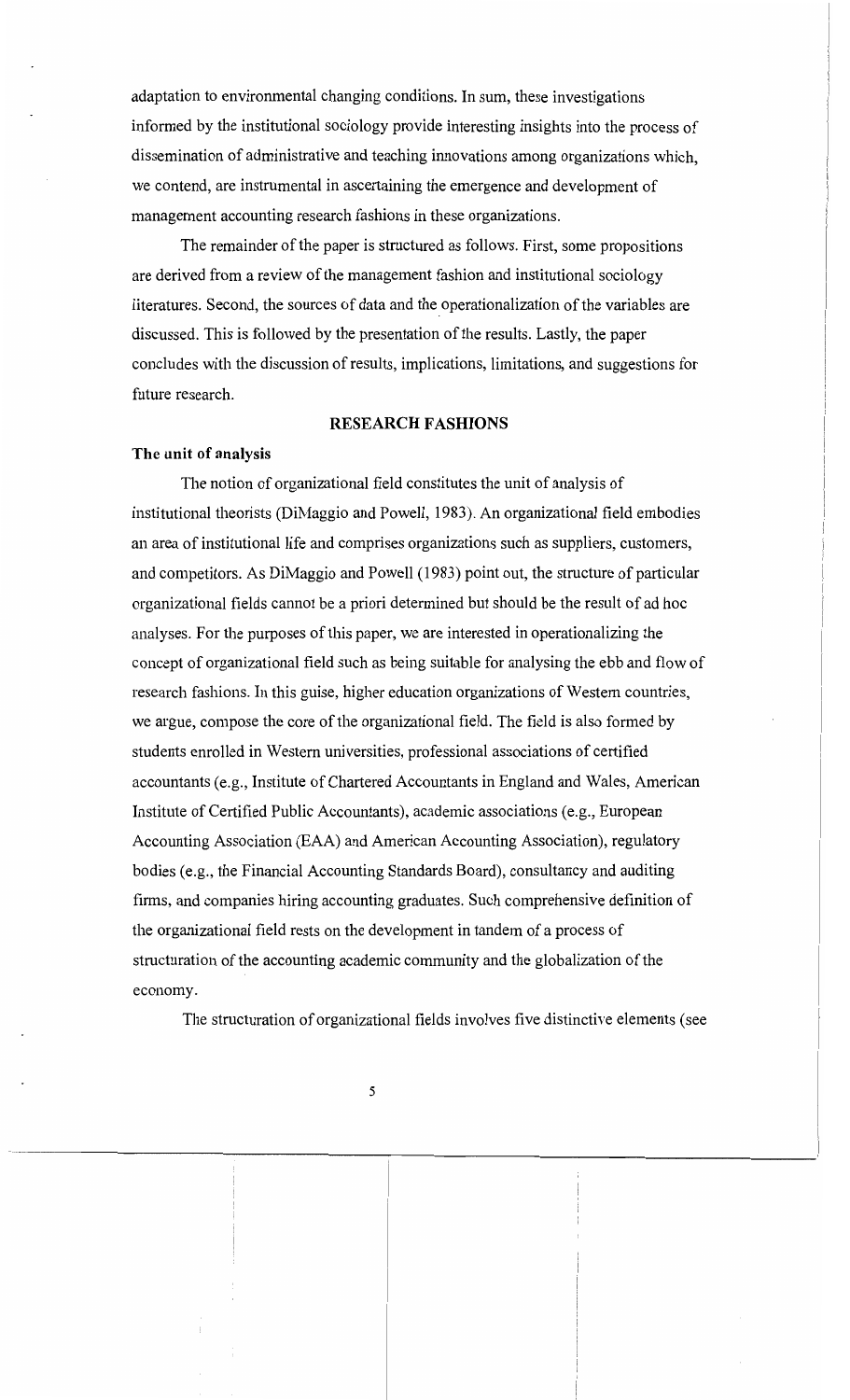adaptation to environmental changing conditions. In sum, these investigations informed by the institutional sociology provide interesting insights into the process of dissemination of administrative and teaching innovations among organizations which, we contend, are instrumental in ascertaining the emergence and development of management accounting research fashions in these organizations.

The remainder of the paper is structured as follows. First, some propositions are derived from a review of the management fashion and institutional sociology literatures. Second, the sources of data and the operationalization of the variables are discussed. This is followed by the presentation of the results. Lastly, the paper concludes with the discussion of results, implications, limitations, and suggestions for future research.

# **RE8EARCH FA8HION8**

#### **The unit of** analysis

The notion of organizational field constitutes the unit of analysis of institutional theorists (DiMaggio and Powell, 1983). An organizational field embodies an area of institutional life and comprises organizations such as suppliers, customers, and competitors. As DiMaggio and Powell (1983) point out, the structure of particular organizational fields cannot be a priori determined but should be the result of ad hoc analyses. For the purposes of this paper, we are interested in operationalizing the concept of organizational field such as being suitable for analysing the ebb and flow of research fashions. In this guise, higher education organizations of Western countries, we argue, compose the core of the organizational field. The field is also formed by students enrolled in Western universities, professional associations of certified accountants (e.g., Institute of Chartered Accountants in England and Wales, American Institute of Certified Public Accountants), academic associations (e.g., European Accounting Association (EAA) and American Accounting Association), regulatory bodies (e.g., the Financial Accounting Standards Board), consultancy and auditing firms, and companies hiring accounting graduates. Such comprehensive definition of the organizational field rests on the development in tandem of a process of structuration of the accounting academic community and the globalization of the economy.

The structuration of organizational fields involves five distinctive elements (see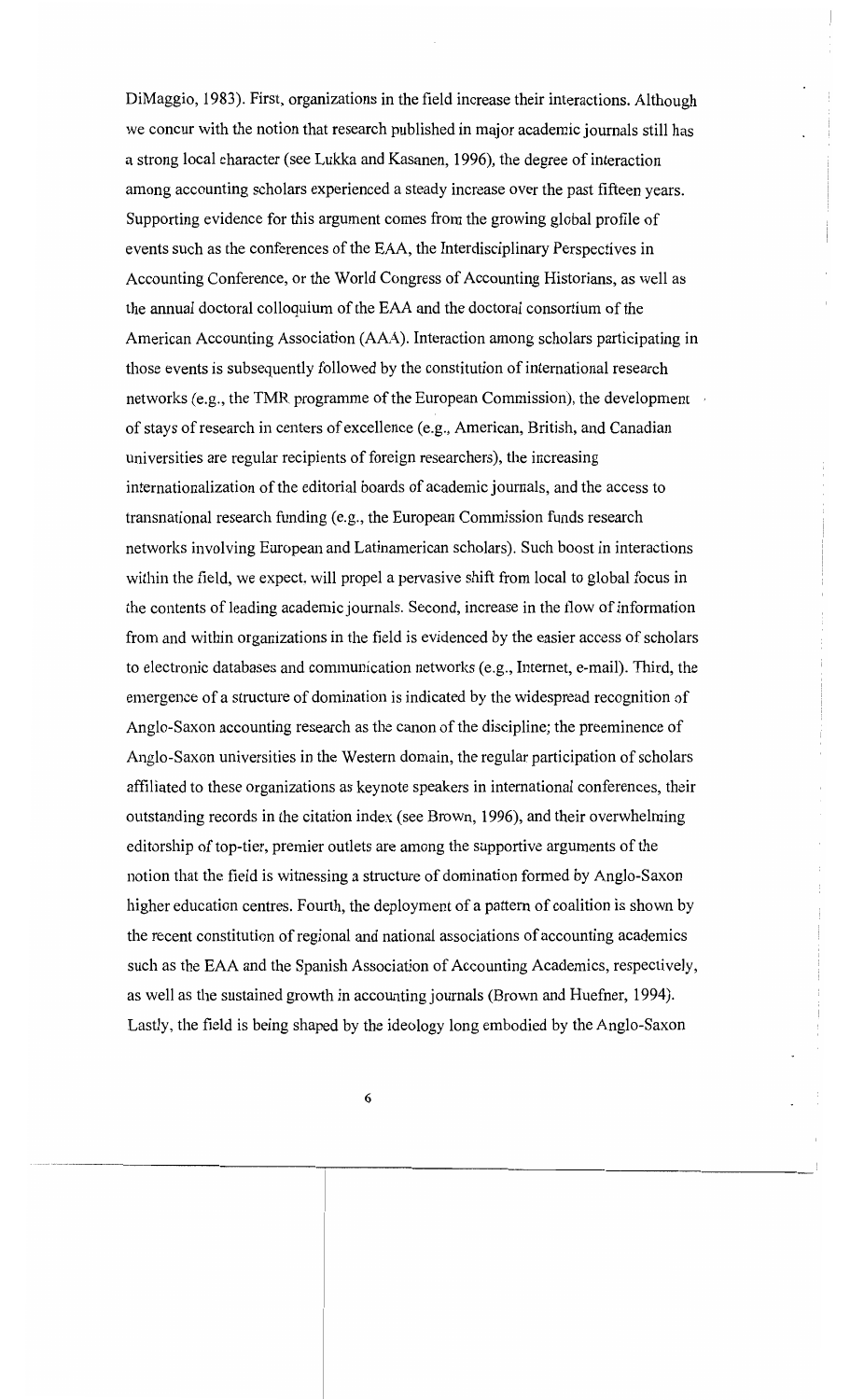DiMaggio, 1983). First, organizations in the field increase their interactions. Although we concur with the notion that research published in major academic journals still has a strong local character (see Lukka and Kasanen, 1996), the degree of interaction among accounting scholars experienced a steady increase over the past fifteen years. Supporting evidence for this argument comes from the growing global profile of events such as the conferences of the EAA, the Interdisciplinary Perspectives in Accounting Conference, or the World Congress of Accounting Historians, as well as the annual doctoral colloquium of the EAA and the doctoral consortium of the American Accounting Association (AAA). Interaction among scholars participating in those events is subsequently followed by the constitution of international research networks (e.g., the TMR programme of the European Commission), the development of stays of research in centers of excellence (e.g., American, British, and Canadian universities are regular recipients of foreign researchers), the increasing internationalization of the editorial boards of academic journals, and the access to transnational research funding (e.g., the European Commission funds research networks involving European and Latinamerican scholars). Such boost in interactions within the field, we expect, will propel a pervasive shift from local to global focus in the contents of leading academic journals. Second, increase in the flow of information from and within organizations in the field is evidenced by the easier access of scholars to electronic databases and communication networks (e.g., Internet, e-mail). Third, the emergence of a structure of domination is indicated by the widespread recognition of Anglo-Saxon accounting research as the canon of the discipline; the preeminence of Anglo-Saxon universities in the Western domain, the regular participation of scholars affiliated to these organizations as keynote speakers in international conferences, their outstanding records in the citation index (see Brown, 1996), and their overwhelming editorship of top-tier, premier outlets are among the supportive arguments of the notion that the field is witnessing a structure of domination formed by Anglo-Saxon higher education centres. Fourth, the deployment of a pattern of coalition is shown by the recent constitution of regional and national associations of accounting academics such as the EAA and the Spanish Association of Accounting Academics, respectively, as well as the sustained growth in accounting journals (Brown and Huefner, 1994). Lastly, the field is being shaped by the ideology long embodied by the Anglo-Saxon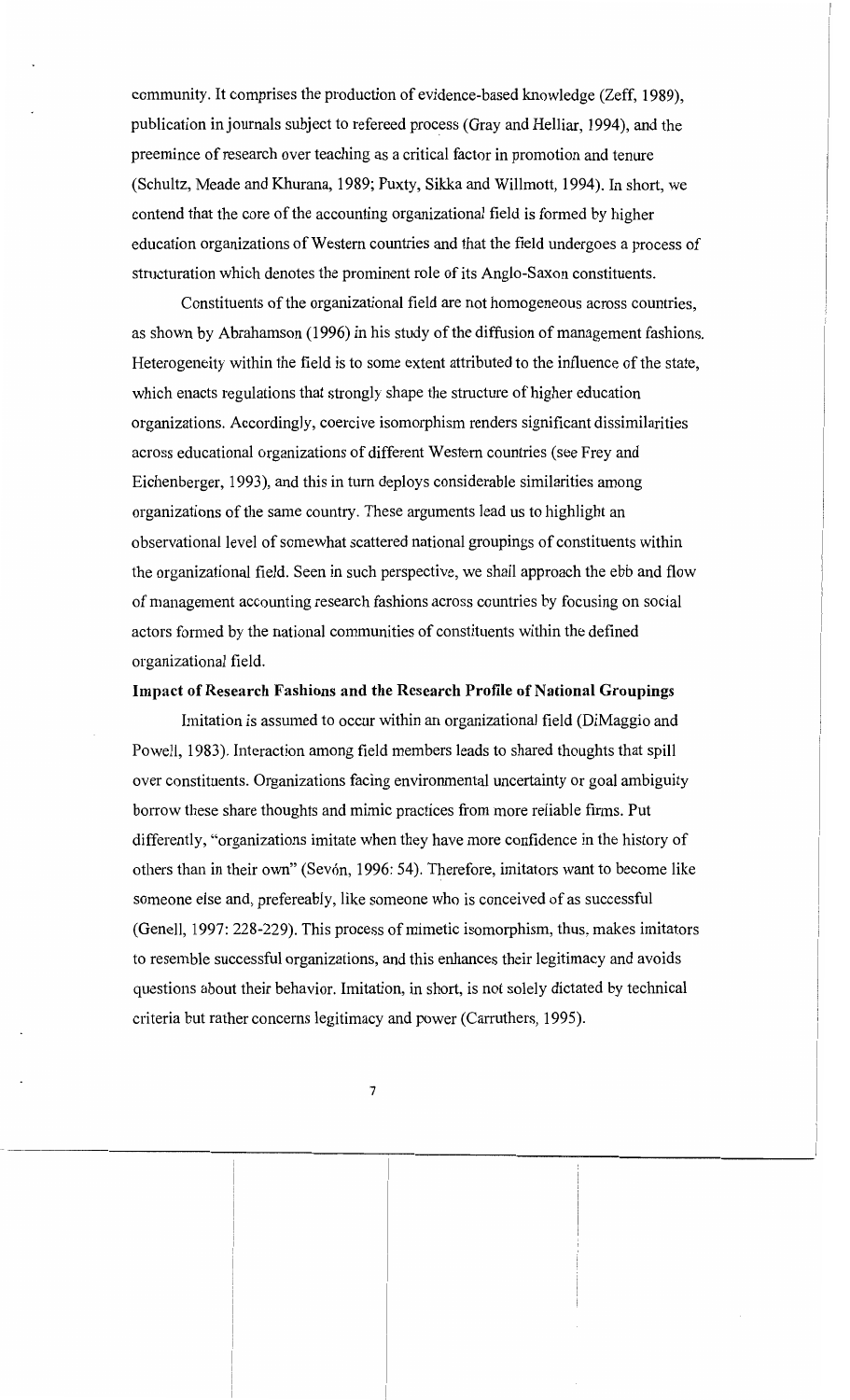community. It comprises the production of evidence-based knowledge (Zeff, 1989), publication injournals subject to refereed process (Gray and Helliar, 1994), and the preemince of research over teaching as a critical factor in promotion and tenure (Schultz, Meade and Khurana, 1989; Puxty, Sikka and Willmott, 1994). In short, we contend that the core of the accounting organizational field is formed by higher education organizations ofWestern countries and that the field undergoes a process of structuration which denotes the prominent role of its Anglo-Saxon constituents.

Constituents of the organizational field are not homogeneous across countries, as shown by Abrahamson (1996) in his study of the diffusion of management fashions. Heterogeneity within the field is to some extent attributed to the influence of the state, which enacts regulations that strongly shape the structure of higher education organizations. Accordingly, coercive isomorphism renders significant dissimilarities across educational organizations of different Western countries (see Frey and Eichenberger, 1993), and this in turn deploys considerable similarities among organizations of the same country. These arguments lead us to highlight an observational level of somewhat scattered national groupings of constituents within the organizational field. Seen in such perspective, we shall approach the ebb and flow of management accounting research fashions across countries by focusing on social actors formed by the national communities of constituents within the defined organizational field.

# **Impact of Research Fashions and the Research Profile of National Groupings**

Imitation is assumed to occur within an organizational field (DiMaggio and Powell, 1983). Interaction among field members leads to shared thoughts that spill over constituents. Organizations facing environmental uncertainty or goal ambiguity borrow these share thoughts and mimic practices from more reliable firms. Put differently, "organizations imitate when they have more confidence in the history of others than in their own" (Sevón, 1996: 54). Therefore, imitators want to become like someone else and, prefereably, like someone who is conceived of as successful (Genell, 1997: 228-229). This process of mimetic isomorphism, thus, makes imitators to resemble successful organizations, and this enhances their legitimacy and avoids questions about their behavior. Imitation, in short, is not solely dictated by technical criteria but rather concerns legitimacy and power (Carruthers, 1995).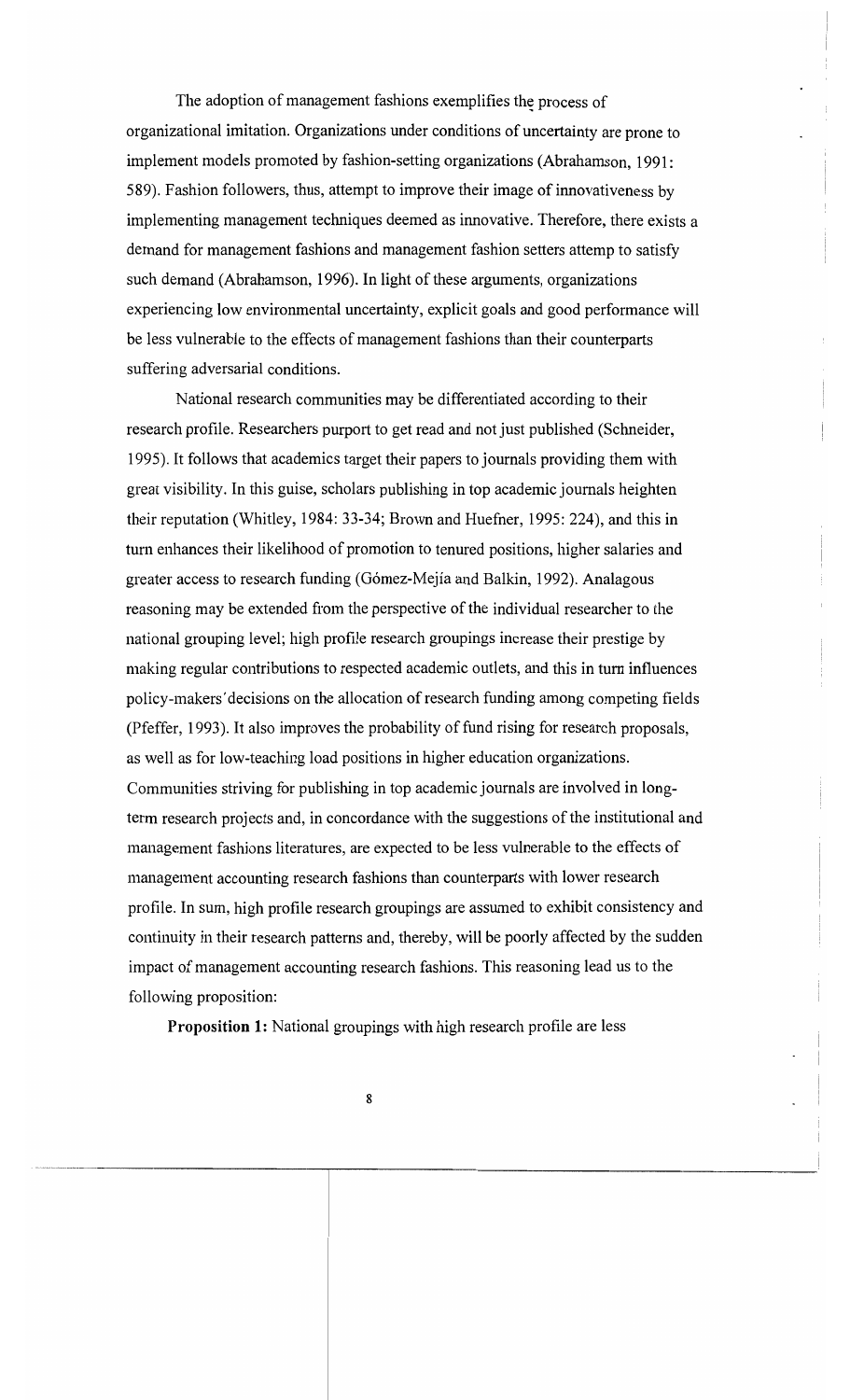The adoption of management fashions exemplifies the process of organizational imitation. Organizations under conditions of uncertainty are prone to implement models promoted by fashion-setting organizations (Abrahamson, 1991: 589). Fashion followers, thus, attempt to improve their image of innovativeness by implementing management techniques deemed as innovative. Therefore, there exists a demand for management fashions and management fashion setters attemp to satisfy such demand (Abrahamson, 1996). In light of these arguments, organizations experiencing low environmental uncertainty, explicit goals and good performance will be less vulnerable to the effects of management fashions than their counterparts suffering adversarial conditions.

National research communities may be differentiated according to their research profile. Researchers purport to get read and not just published (Schneider, 1995). It follows that academics target their papers to journals providing them with great visibility. In this guise, scholars publishing in top academic journals heighten their reputation (Whitley, 1984: 33-34; Brown and Huefner, 1995: 224), and this in turn enhances their likelihood of promotion to tenured positions, higher salaries and greater access to research funding (Gómez-Mejía and Balkin, 1992). Analagous reasoning may be extended from the perspective of the individual researcher to the national grouping level; high profile research groupings increase their prestige by making regular contributions to respected academic outlets, and this in turn influences policy-makers'decisions on the allocation ofresearch funding among competing fields (Pfeffer, 1993). It also improves the probability of fund rising for research proposals, as well as for low-teaching load positions in higher education organizations. Communities striving for publishing in top academic journals are involved in longterm research projects and, in concordance with the suggestions of the institutional and management fashions literatures, are expected to be less vulnerable to the effects of management accounting research fashions than counterparts with lower research profile. In sum, high profile research groupings are assumed to exhibit consistency and continuity in their research patterns and, thereby, will be poorly affected by the sudden impact of management accounting research fashions. This reasoning lead us to the following proposition:

**Proposition 1:** National groupings with high research profile are less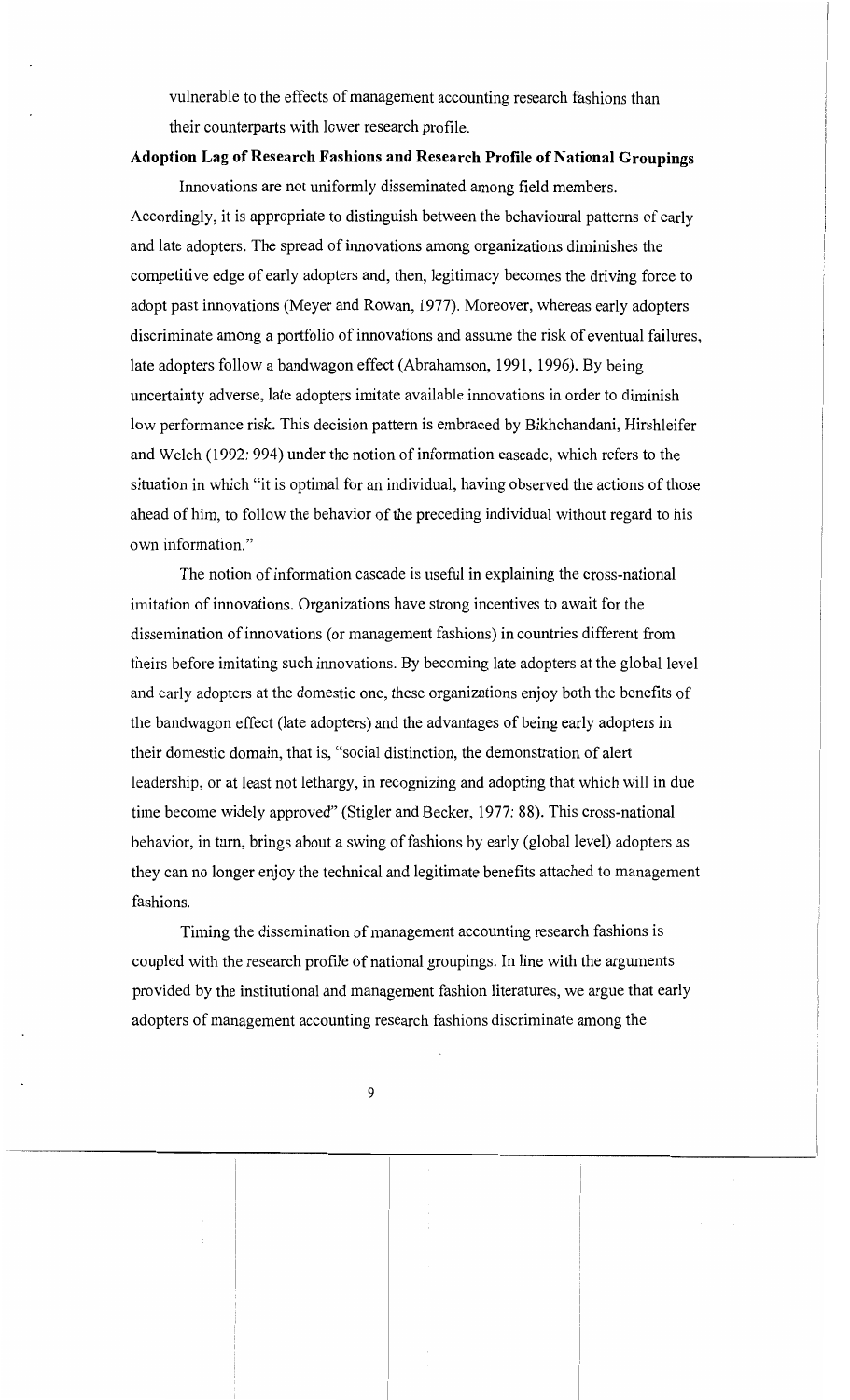vulnerable to the effects of management accounting research fashions than their counterparts with lower research profile.

## **Adoption Lag of Research Fashions and Research Profile of National Groupings**

Innovations are not uniformly disseminated among field members. Accordingly, it is appropriate to distinguish between the behavioural patterns of early and late adopters. The spread of innovations among organizations diminishes the competitive edge of earIy adopters and, then, legitimacy becomes the driving force to adopt past innovations (Meyer and Rowan, 1977). Moreover, whereas earIy adopters discriminate among a portfolio of innovations and assume the risk of eventual failures, late adopters follow a bandwagon effect (Abrahamson, 1991, 1996). By being uncertainty adverse, late adopters imitate available innovations in order to diminish low performance risk. This decision pattern is embraced by Bikhchandani, Hirshleifer and Welch (1992: 994) under the notion of information cascade, which refers to the situation in which "it is optimal for an individual, having observed the actions of those ahead of him, to follow the behavior of the preceding individual without regard to his own information."

The notion of information cascade is useful in explaining the cross-national imitation of innovations. Organizations have strong incentives to await for the dissemination of innovations (or management fashions) in countries different from theirs before imitating such innovations. By becoming late adopters at the global level and early adopters at the domestic one, these organizations enjoy both the benefits of the bandwagon effect (late adopters) and the advantages of being early adopters in their domestic domain, that is, "social distinction, the demonstration of alert leadership, or at least not lethargy, in recognizing and adopting that which will in due time become widely approved" (Stigler and Becker, 1977: 88). This cross-national behavior, in turn, brings about a swing of fashions by early (global level) adopters as they can no longer enjoy the technical and legitimate benefits attached to management fashions.

Timing the dissemination of management accounting research fashions is coupled with the research profile of national groupings. In line with the arguments provided by the institutional and management fashion literatures, we argue that earIy adopters of management accounting research fashions discriminate among the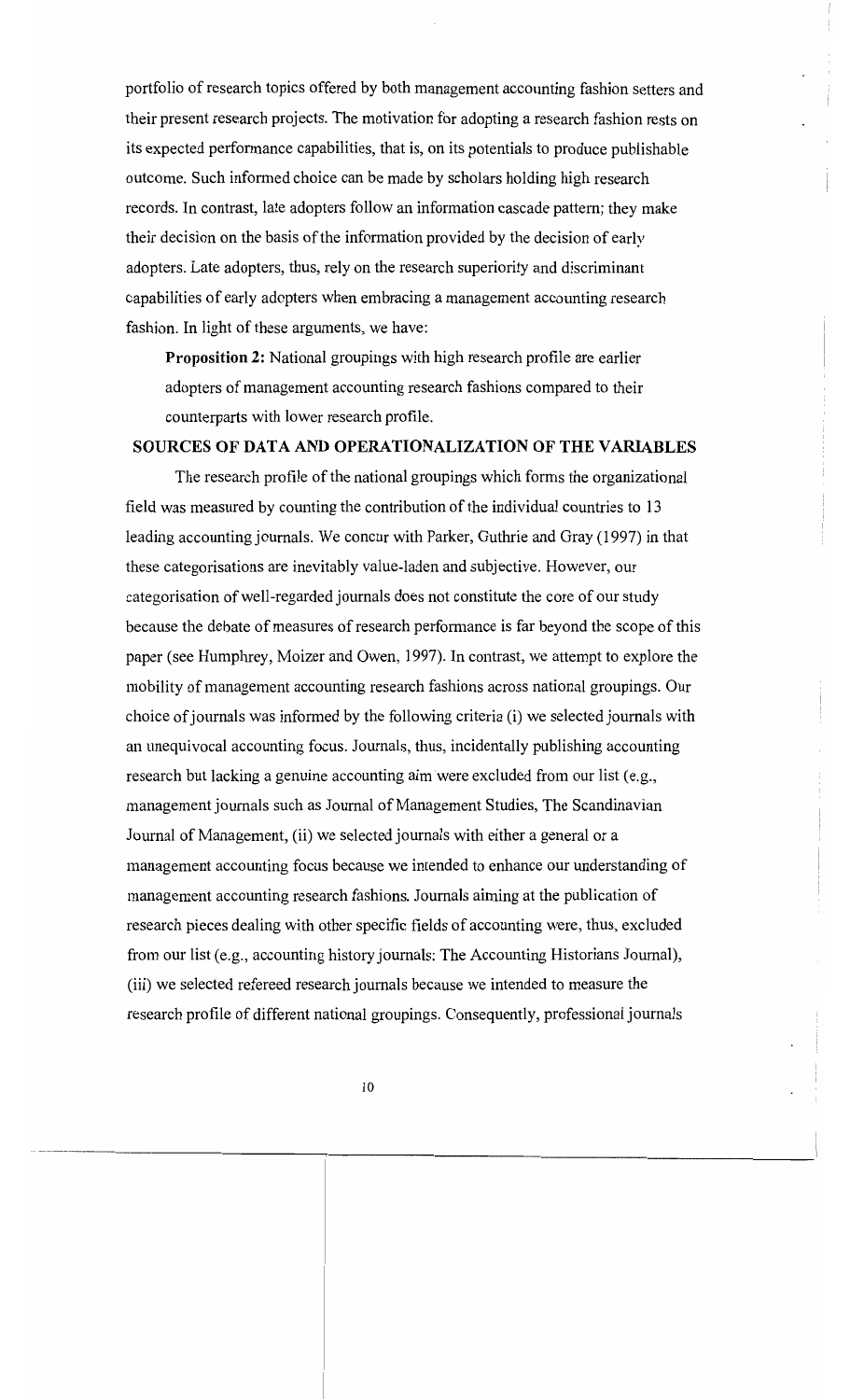portfolio of research topics offered by both management accounting fashion setters and their present research projects. The motivation for adopting a research fashion rests on its expected performance capabilities, that is, on its potentials to produce publishable outcome. Such informed choice can be made by scholars holding high research records. **In** contrast, late adopters follow an information cascade pattern; they make their decision on the basis of the information provided by the decision of early adopters. Late adopters, thus, rely on the research superiority and discriminant capabilities of early adopters when embracing a management accounting research fashion. In light of these arguments, we have:

**Proposition 2:** National groupings with high research profile are earlier adopters of management accounting research fashions compared to their counterparts with lower research profile.

## **SOURCES OF DATA AND OPERATIONALIZATION OF THE VARIABLES**

The research profile of the national groupings which forms the organizational field was measured by counting the contribution of the individual countries to  $13$ leading accounting journals. We concur with Parker, Guthrie and Gray (1997) in that these categorisations are inevitably value-laden and subjective. However, our categorisation of well-regarded journals does not constitute the core of our study because the debate of measures of research performance is far beyond the scope of this paper (see Humphrey, Moizer and Owen, 1997). **In** contrast, we attempt to explore the mobility of management accounting research fashions across national groupings. Our choice of journals was informed by the following criteria (i) we selected journals with an unequivocal accounting focus. Journals, thus, incidentally publishing accounting research but lacking a genuine accounting aim were excluded from our list (e.g., management journals such as Journal of Management Studies, The Scandinavian Journal of Management, (ii) we selected journals with either a general or a management accounting focus because we intended to enhance our understanding of management accounting research fashions. Journals aiming at the publication of research pieces dealing with other specific fields of accounting were, thus, excluded from our list (e.g., accounting history journals: The Accounting Historians Journal), (iii) we selected refereed research journals because we intended to measure the research profile of different national groupings. Consequently, professional journals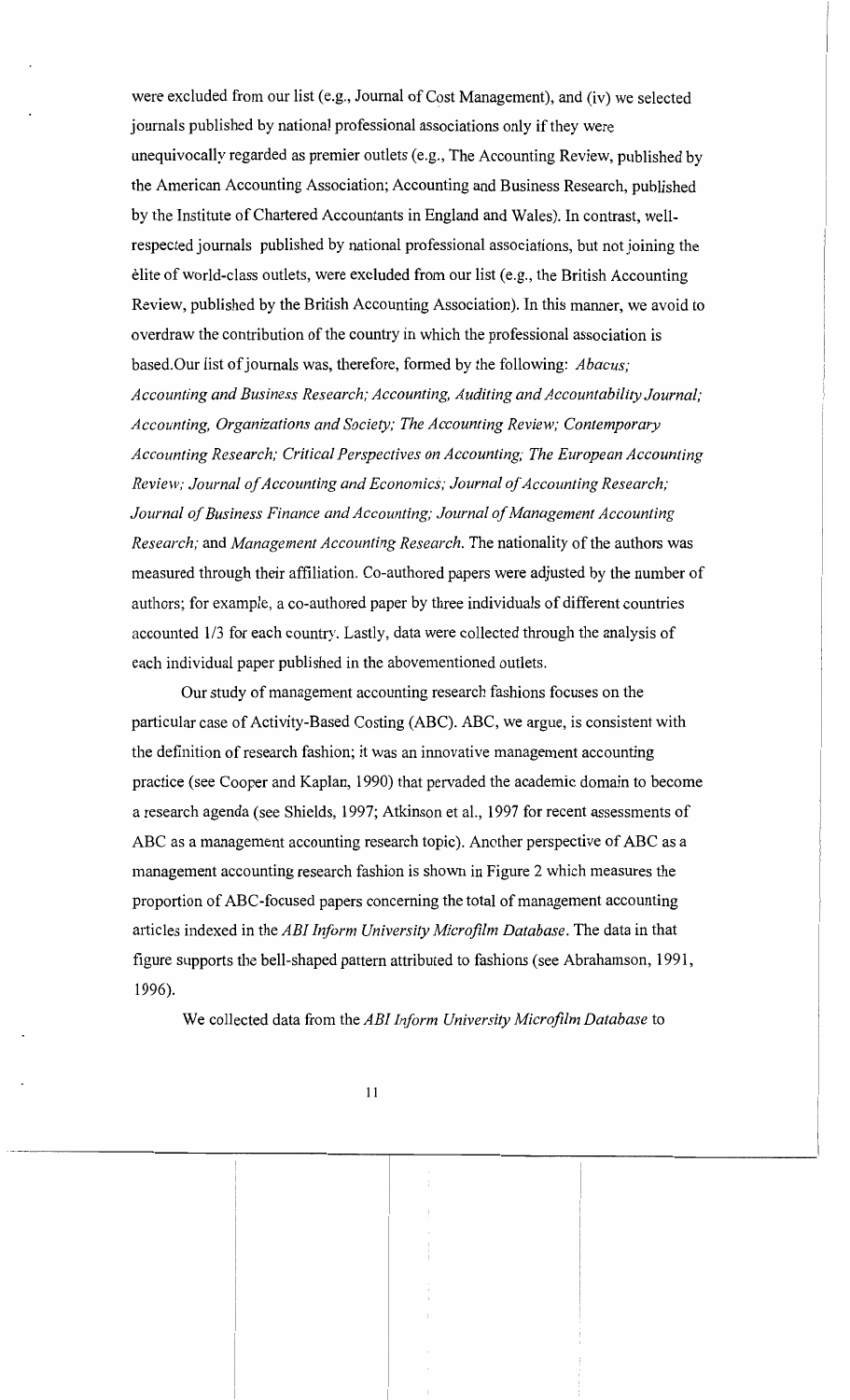were excluded from our list (e.g., Journal of Cost Management), and (iv) we selected journals published by national professional associations only if they were unequivocally regarded as premier outlets (e.g., The Accounting Review, published by the American Accounting Association; Accounting and Business Research, published by the Institute ofChartered Accountants in England and Wales). **In** contrast, wellrespected journals published by national professional associations, but not joining the elite of world-class outlets, were excluded from our list (e.g., the British Accounting Review, published by the British Accounting Association). **In** this manner, we avoid to overdraw the contribution of the country in which the professional association is based.Our list of journals was, therefore, formed by the following: *Abacus*; *Accounting and Business Research; Accounting, Auditing and Accountability Journal,' Accounting, Organizations and Society; The Accounting Review; Contemporary Accounting Research; Critical Perspectives on Accounting; The European Accounting Review; Journal of Accounting and Economics; Journal of Accounting Research; Journal of Business Finance and Accounting; Journal of Management Accounting Research;* and *Management Accounting Research.* The nationality of the authors was measured through their affiliation. Co-authored papers were adjusted by the number of authors; for example, a co-authored paper by three individuals of different countries accounted 1/3 for each country. Lastly, data were collected through the analysis of each individual paper published in the abovementioned outlets.

Our study of management accounting research fashions focuses on the particular case of Activity-Based Costing (ABC). ABC, we argue, is consistent with the definition of research fashion; it was an innovative management accounting practice (see Cooper and Kaplan, 1990) that pervaded the academic domain to become a research agenda (see Shields, 1997; Atkinson et al., 1997 for recent assessments of ABC as a management accounting research topic). Another perspective of ABC as a management accounting research fashion is shown in Figure 2 which measures the proportion of ABC-focused papers concerning the total of management accounting articles indexed in the *ABI Inform University Microfilm Database*. The data in that figure supports the bell-shaped pattern attributed to fashions (see Abrahamson, 1991, 1996).

We collected data from the *ABI Inform University Microfilm Database* to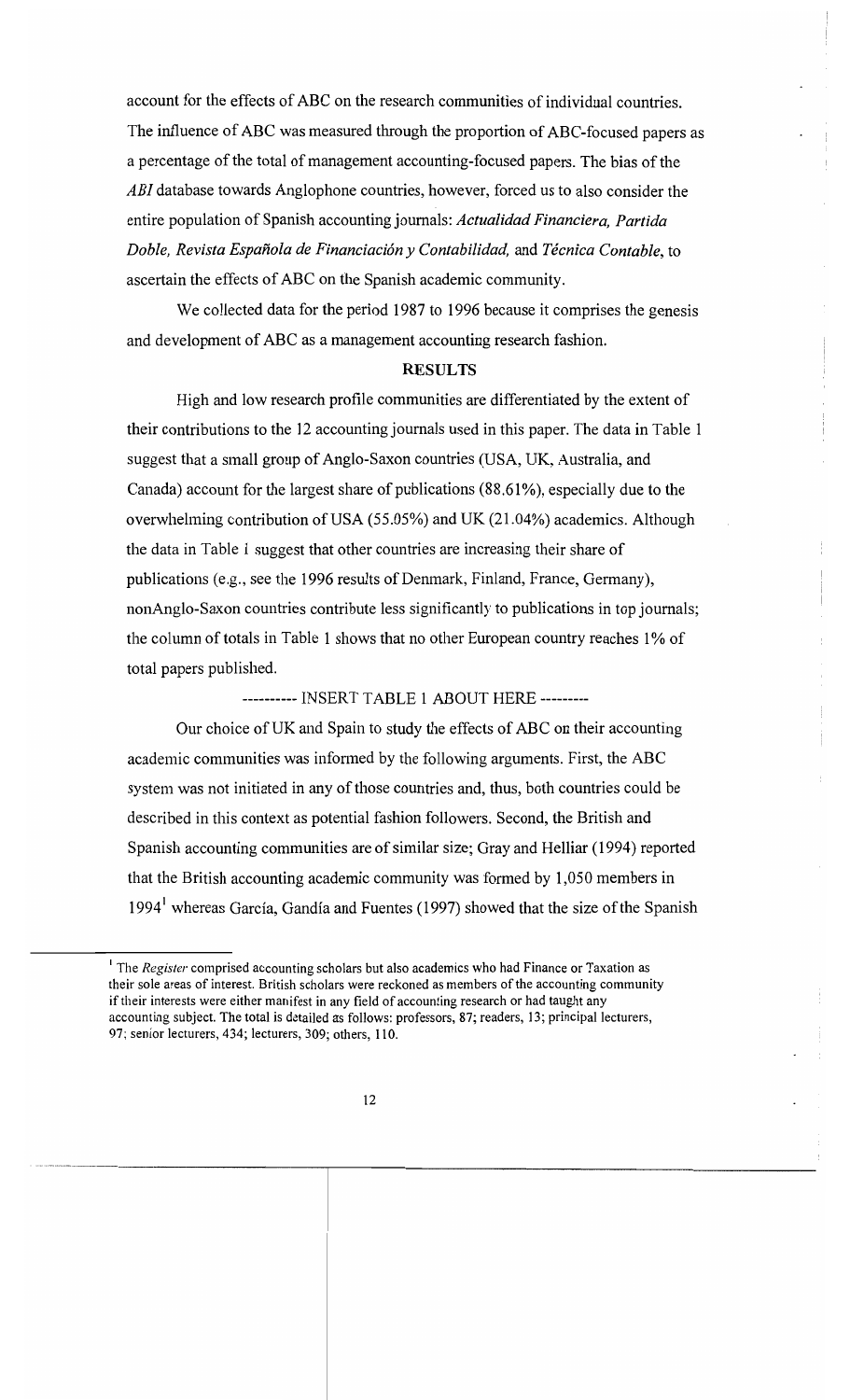account for the effects of ABC on the research communities of individual countries. The influence of ABC was measured through the proportion of ABC-focused papers as a percentage of the total of management accounting-focused papers. The bias of the *ABI* database towards Anglophone countries, however, forced us to also consider the entire population of Spanish accounting joumals: *Actualidad Financiera, Partida Doble, Revista Española de Financiación y Contabilidad,* and *Técnica Contable,* to ascertain the effects of ABC on the Spanish academic community.

We collected data for the period 1987 to 1996 because it comprises the genesis and development of ABC as a management accounting research fashion.

## RESULTS

High and low research profile communities are differentiated by the extent of their contributions to the 12 accounting journals used in this paper. The data in Table 1 suggest that a small group of Anglo-Saxon countries (USA, UK, Australia, and Canada) account for the largest share of publications (88.61%), especially due to the overwhelming contribution of USA  $(55.05\%)$  and UK  $(21.04\%)$  academics. Although the data in Table 1 suggest that other countries are increasing their share of publications (e.g., see the 1996 results of Denmark, Finland, France, Germany), nonAnglo-Saxon countries contribute less significantly to publications in top joumals; the column of totals in Table 1 shows that no other European country reaches 1% of total papers published.

# ---------- INSERT TABLE 1 ABOUT HERE ---------

Our choice of UK and Spain to study the effects of ABC on their accounting academic communities was informed by the following arguments. First, the ABC system was not initiated in any of those countries and, thus, both countries could be described in this context as potential fashion fol1owers. Second, the British and Spanish accounting communities are of similar size; Gray and Helliar (1994) reported that the British accounting academic community was formed by 1,050 members in 1994<sup>1</sup> whereas García, Gandía and Fuentes (1997) showed that the size of the Spanish

<sup>&</sup>lt;sup>1</sup> The *Register* comprised accounting scholars but also academics who had Finance or Taxation as their sole areas of interest. British scholars were reckoned as members of the accounting community if their interests were either manifest in any field of accounting research or had taught any accounting subject. The total is detailed as follows: professors, 87; readers, 13; principallecturers, 97; senior lecturers, 434; lecturers, 309; others, 110.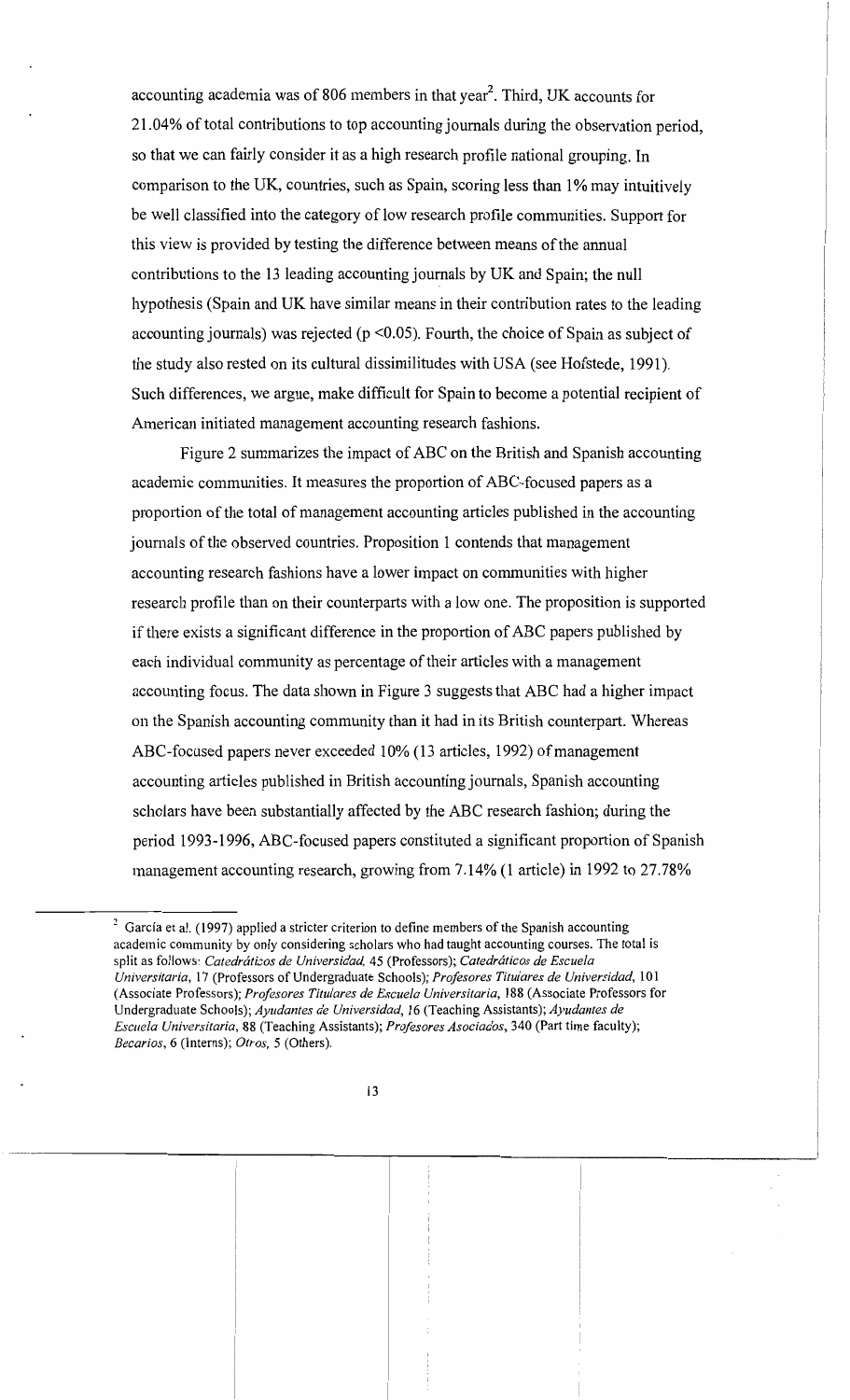accounting academia was of 806 members in that year<sup>2</sup>. Third, UK accounts for 21.04% of total contributions to top accounting journals during the observation period. so that we can fairly consider it as a high research profile national grouping. In comparison to the UK, countries, such as Spain, scoring less than 1% may intuitively be well classified into the category of low research profile communities. Support for this view is provided by testing the difference between means of the annual contributions to the 13 leading accounting journals by UK and Spain; the null hypothesis (Spain and UK have similar means in their contribution rates to the leading accounting journals) was rejected ( $p \le 0.05$ ). Fourth, the choice of Spain as subject of the study also rested on its cultural dissimilitudes with USA (see Hofstede, 1991). Such differences, we argue, make difficult for Spain to become a potential recipient of American initiated management accounting research fashions.

Figure 2 summarizes the impact of ABC on the British and Spanish accounting academic communities. It measures the proportion of ABC-focused papers as a proportion of the total of management accounting articles published in the accounting journals of the observed countries. Proposition 1 contends that management accounting research fashions have a lower impact on communities with higher research profile than on their counterparts with a low one. The proposition is supported if there exists a significant difference in the proportion of ABC papers published by each individual community as percentage of their articles with a management accounting focus. The data shown in Figure 3 suggests that ABC had a higher impact on the Spanish accounting community than it had in its British counterpart. Whereas ABC-focused papers never exceeded 10% (13 articles, 1992) of management accounting articles published in British accounting journals, Spanish accounting scholars have been substantially affected by the ABC research fashion; during the period 1993-1996, ABC-focused papers constituted a significant proportion of Spanish management accounting research, growing from 7.14% (1 article) in 1992 to 27.78%

 $2$  García et al. (1997) applied a stricter criterion to define members of the Spanish accounting academic community by only considering scholars who had taught accounting courses. The total is split as follows: *Catedráticos de Universidad,* 45 (Professors); *Catedráticos de Escuela Universitaria,* 17 (Professors of Undergraduate Schools); *Profesores Titulares de Universidad,* 101 (Associate Professors); *Profesores Titulares de Escuela Universitaria,* 188 (Associate Professors for Undergraduate Schools); *Ayudantes de Universidad,* 16 (Teaching Assistants); *Ayudantes de Escuela Universitaria,* 88 (Teaching Assistants); *Profesores Asociados,* 340 (Part time facu1ty); *Becarios,* 6 (lntems); *Otros,* 5 (Others).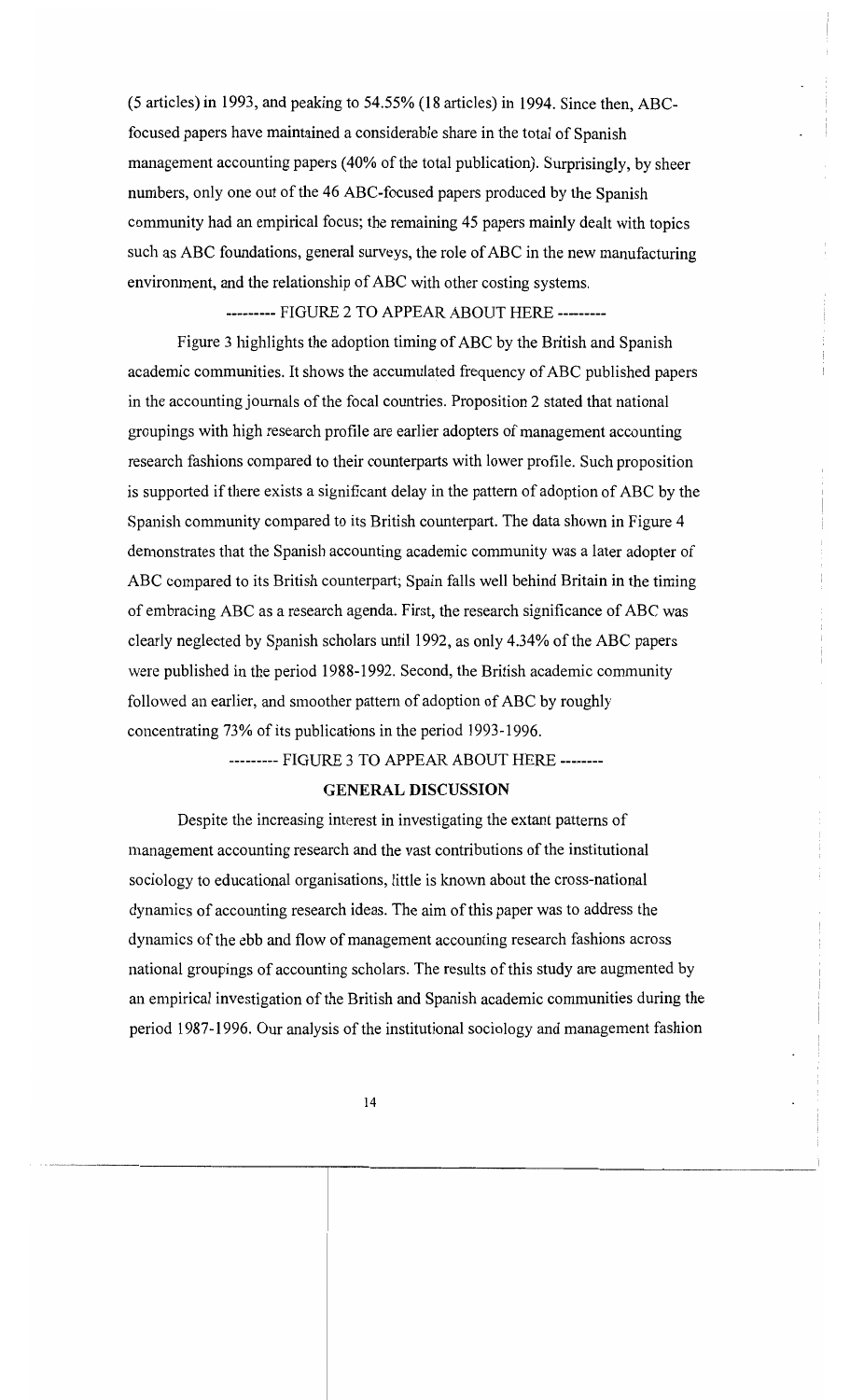$(5 \text{ articles})$  in 1993, and peaking to  $54.55\%$  (18 articles) in 1994. Since then, ABCfocused papers have maintained a considerable share in the total of Spanish management accounting papers (40% of the total publication). Surprisingly, by sheer numbers, only one out of the 46 ABC-focused papers produced by the Spanish community had an empirica1 focus; the remaining 45 papers main1y dealt with topics such as ABC foundations, general surveys, the role of ABC in the new manufacturing environment, and the relationship of ABC with other costing systems.

# --------- FIGURE 2 TO APPEAR ABOUT HERE ---------

Figure 3 highlights the adoption timing of ABC by the British and Spanish academic communities. It shows the accumulated frequency of ABC published papers in the accounting journals of the focal countries. Proposition 2 stated that national groupings with high research profile are earlier adopters of management accounting research fashions compared to their counterparts with lower profile. Such proposition is supported if there exists a significant delay in the pattern of adoption of ABC by the Spanish community compared to its British counterpart. The data shown in Figure 4 demonstrates that the Spanish accounting academic community was a later adopter of ABC compared to its British counterpart; Spain falls well behind Britain in the timing of embracing ABC as a research agenda. First, the research significance of ABC was clearly neglected by Spanish scholars until 1992, as only 4.34% of the ABC papers were published in the period 1988-1992. Second, the British academic community followed an earlier, and smoother pattern of adoption of ABC by roughly concentrating 73% of its publications in the period 1993-1996.

--------- FIGURE 3 TO APPEAR ABOUT HERE --------

#### GENERAL DISCUSSION

Despite the increasing interest in investigating the extant patterns of management accounting research and the vast contributions of the institutional sociology to educational organisations, little is known about the cross-national dynamics of accounting research ideas. The aim of this paper was to address the dynamics of the ebb and flow of management accounting research fashions across national groupings of accounting scholars. The results of this study are augmented by an empirical investigation of the British and Spanish academic communities during the period 1987-1996. Our analysis of the institutional sociology and management fashion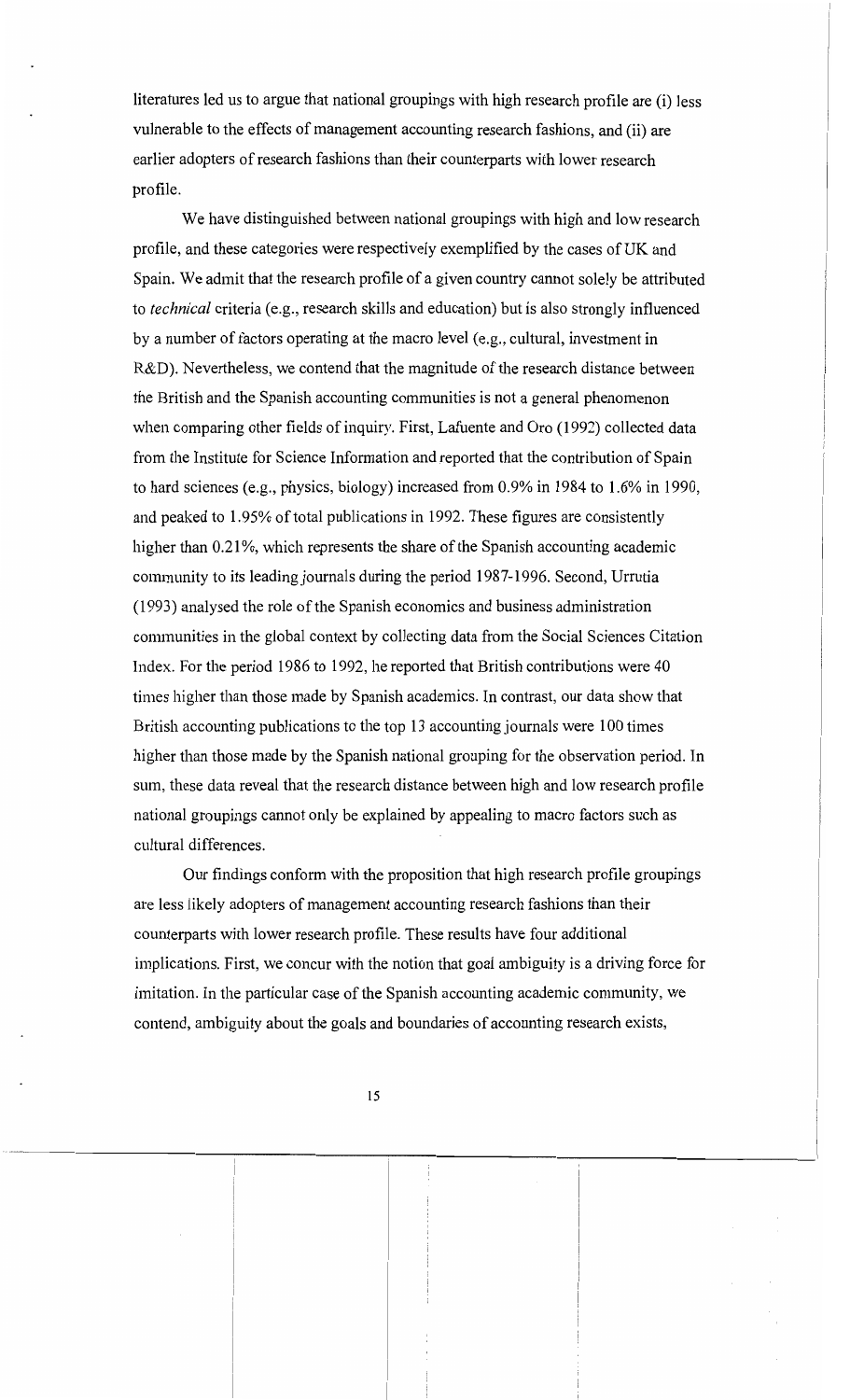literatures led us to argue that national groupings with high research profile are (i) less vulnerable to the effects of management accounting research fashions, and (ii) are earlier adopters of research fashions than their counterparts with lower research profile.

We have distinguished between national groupings with high and low research profile, and these categories were respectively exemplified by the cases of UK and Spain. We admit that the research profile of a given country cannot solely be attributed to *technical* criteria (e.g., research skills and education) but is also strongly influenced by a number of factors operating at the macro level (e.g., cultural, investment in R&D). Nevertheless, we contend that the magnitude of the research distance between the British and the Spanish accounting communities is not a general phenomenon when comparing other fields of inquiry. First, Lafuente and Oro (1992) collected data from the Institute for Science Information and reported that the contribution of Spain to hard sciences (e.g., physics, biology) increased from 0.9% in 1984 to 1.6% in 1990, and peaked to 1.95% of total publications in 1992. These figures are consistently higher than 0.21%, which represents the share of the Spanish accounting academic community to its leading journals during the period 1987-1996. Second, Urrutia (1993) analysed the role ofthe Spanish economics and business administration communities in the global context by collecting data from the Social Sciences Citation Index. For the period 1986 to 1992, he reported that British contributions were 40 times higher than those made by Spanish academics. In contrast, our data show that British accounting publications to the top 13 accounting journals were 100 times higher than those made by the Spanish national grouping for the observation period. In sum, these data reveal that the research distance between high and low research profile national groupings cannot only be explained by appealing to macro factors such as cultural differences.

Our findings conform with the proposition that high research profile groupings are less likely adopters of management accounting research fashions than their counterparts with lower research profile. These results have four additional implications. First, we concur with the notion that goal ambiguity is a driving force for imitation. In the particular case of the Spanish accounting academic community, we contend, ambiguity about the goals and boundaries of accounting research exists,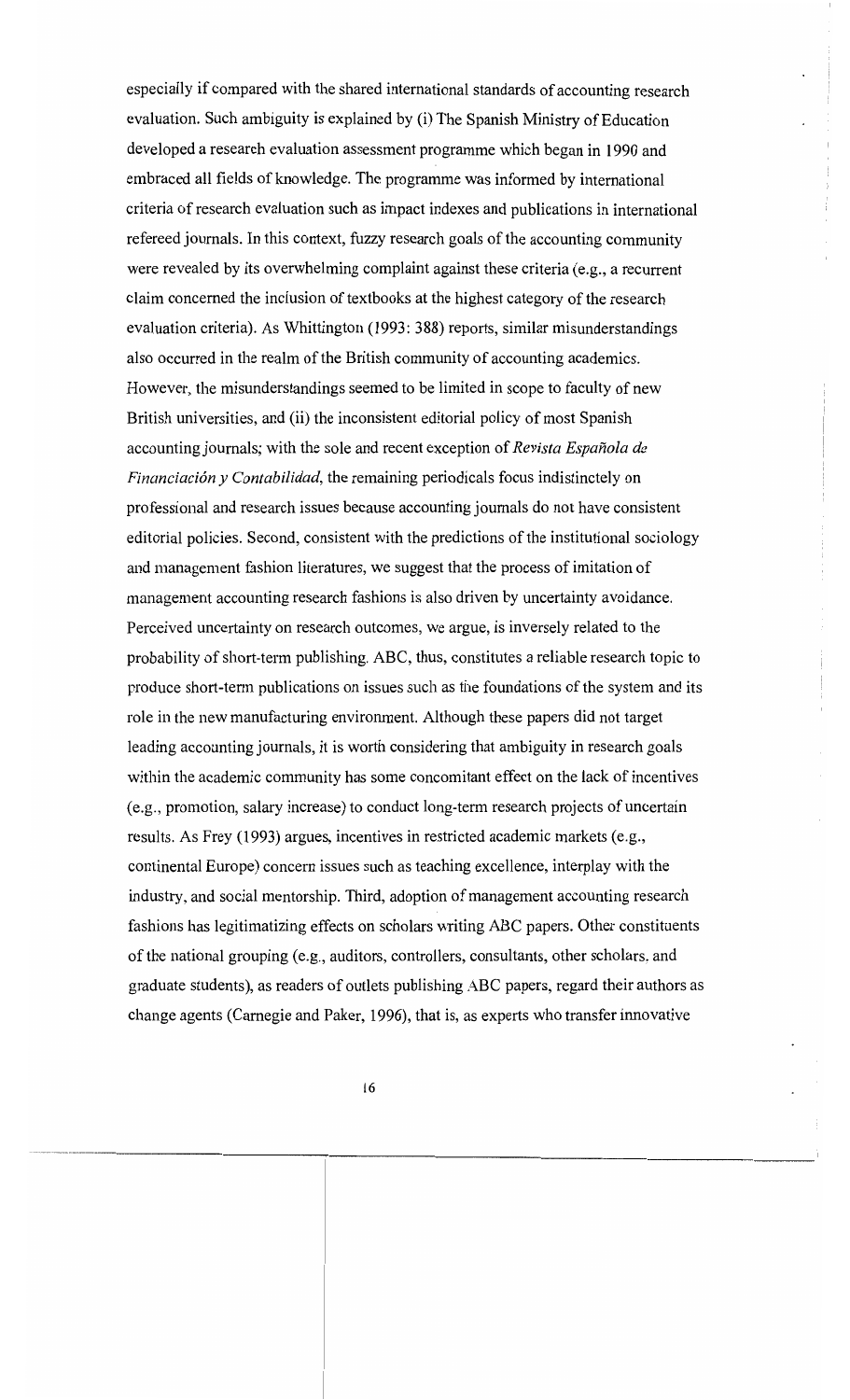especially if compared with the shared international standards of accounting research evaluation. Such ambiguity is explained by (i) The Spanish Ministry of Education developed a research evaluation assessment programme which began in 1990 and embraced all fields of knowledge. The programme was informed by international criteria of research evaluation such as impact indexes and publications in international refereed journals. In this context, fuzzy research goals of the accounting community were revealed by its overwhelming complaint against these criteria (e.g., a recurrent claim concerned the inclusion of textbooks at the highest category of the research evaluation criteria). As Whittington (1993: 388) reports, similar misunderstandings also occurred in the realm of the British community of accounting academics. However, the misunderstandings seemed to be limited in scope to faculty of new British universities, and (ii) the inconsistent editorial policy of most Spanish accounting journals; with the sole and recent exception of *Revista Española de Financiación y Contabilidad,* the remaining periodicals focus indistinctely on professional and research issues because accounting joumals do not have consistent editorial policies. Second, consistent with the predictions of the institutional sociology and management fashion literatures, we suggest that the process of imitation of management accounting research fashions is also driven by uncertainty avoidance. Perceived uncertainty on research outcomes, we argue, is inversely related to the probability of short-term publishing. ABC, thus, constitutes a reliable research topic to produce short-term publications on issues such as the foundations of the system and its role in the new manufacturing environment. Although these papers did not target leading accounting journals, it is worth considering that ambiguity in research goals within the academic community has some concomitant effect on the lack of incentives (e.g., promotion, salary increase) to conduct long-term research projects of uncertain results. As Frey (1993) argues, incentives in restricted academic markets (e.g., continental Europe) concern issues such as teaching excellence, interplay with the industry, and social mentorship. Third, adoption of management accounting research fashions has legitimatizing effects on scholars writing ABC papers. Other constituents of the national grouping (e.g., auditors, controllers, consultants, other scholars, and graduate students), as readers of outlets publishing ABC papers, regard their authors as change agents (Carnegie and Paker, 1996), that is, as experts who transfer innovative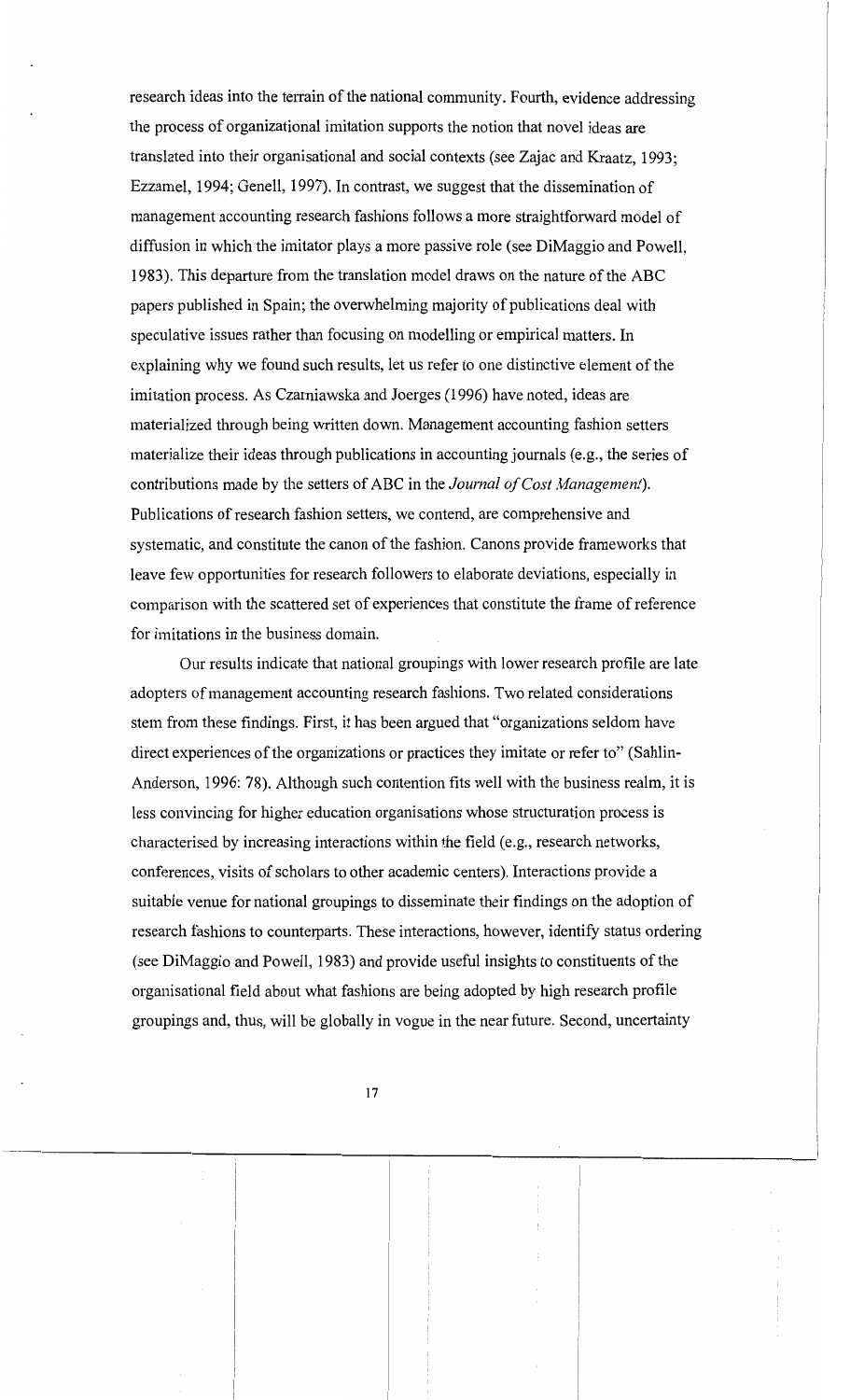research ideas into the terrain of the national community. Fourth, evidence addressing the process of organizational imitation supports the notion that novel ideas are translated into their organisational and social contexts (see Zajac and Kraatz, 1993; Ezzamel, 1994; Genell, 1997). In contrast, we suggest that the dissemination of management accounting research fashions follows a more straightforward model of diffusion in which the imitator plays a more passive role (see DiMaggio and Powell, 1983). This departure from the translation model draws on the nature of the ABC papers published in Spain; the overwhelming majority of publications deal with speculative issues rather than focusing on modelling or empirical matters. In explaining why we found such results, let us refer to one distinctive element of the imitation process. As Czarniawska and Joerges (1996) have noted, ideas are materialized through being written down. Management accounting fashion setters materialize their ideas through publications in accounting journals (e.g., the series of contributions made by the setters of ABC in the *Journal 01Cost Management).*  Publications of research fashion setters, we contend, are comprehensive and systematic, and constitute the canon of the fashion. Canons provide frameworks that leave few opportunities for research followers to elaborate deviations, especially in comparison with the scattered set of experiences that constitute the frame of reference for imitations in the business domain.

Our results indicate that national groupings with lower research profile are late adopters of management accounting research fashions. Two related considerations stem from these findings. First, it has been argued that "organizations seldom have direct experiences ofthe organizations or practices they imitate or refer to" (Sahlin-Anderson, 1996: 78). Although such contention fits well with the business realm, it is less convincing for higher education organisations whose structuration process is characterised by increasing interactions within the field (e.g., research networks, conferences, visits of scholars to other academic centers). Interactions provide a suitable venue for national groupings to disseminate their findings on the adoption of research fashions to counterparts. These interactions, however, identify status ordering (see DiMaggio and Powell, 1983) and provide useful insights to constituents of the organisational field about what fashions are being adopted by high research profile groupings and, thus, will be globally in vogue in the near future. Second, uncertainty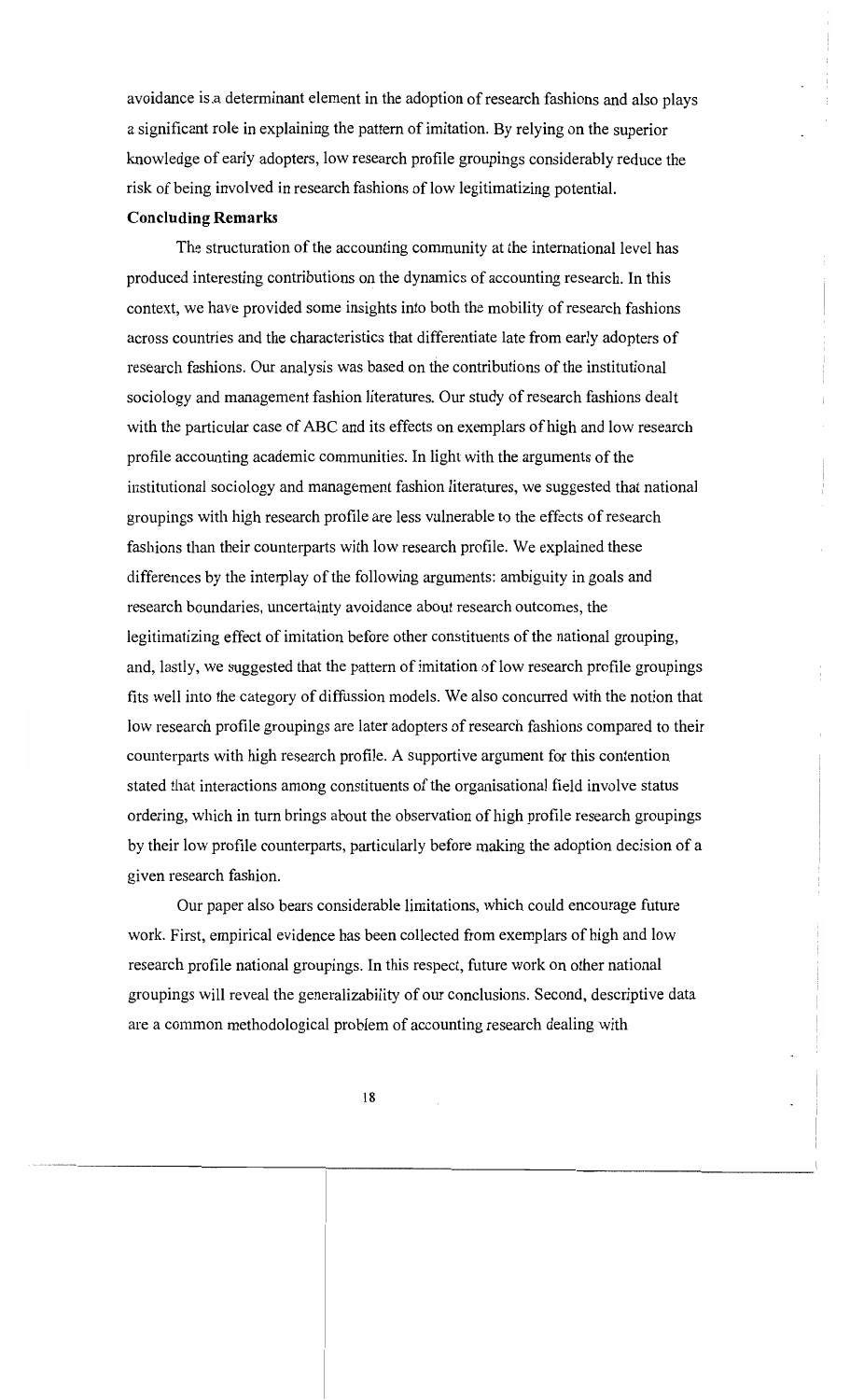avoidance is,a determinant element in the adoption of research fashions and also plays a significant role in explaining the pattem of imitation. By relying on the superior knowledge of early adopters, low research profile groupings considerably reduce the risk of being involved in research fashions of low legitimatizing potential.

## Concluding Remarks

The structuration of the accounting community at the international level has produced interesting contributions on the dynamics of accounting research. In this context, we have provided some insights into both the mobility of research fashions across countries and the characteristics that differentiate late from early adopters of research fashions. Our analysis was based on the contributions of the institutional sociology and management fashion literatures. Our study of research fashions dealt with the particular case of ABC and its effects on exemplars of high and low research profile accounting academic communities. In light with the arguments of the institutional sociology and management fashion literatures, we suggested that national groupings with high research profile are less vulnerable to the effects of research fashions than their counterparts with low research profile. We explained these differences by the interplay of the following arguments: ambiguity in goals and research boundaries, uncertainty avoidance about research outcomes, the legitimatizing effect of imitation before other constituents of the national grouping, and, lastly, we suggested that the pattern of imitation of low research profile groupings fits well into the category of diffussion models. We also concurred with the notion that low research profile groupings are later adopters of research fashions compared to their counterparts with high research profile. A supportive argument for this contention stated that interactions among constituents of the organisational field involve status ordering, which in tum brings about the observation of high profile research groupings by their low profile counterparts, particularly before making the adoption decision of a given research fashion.

Our paper also bears considerable limitations, which could encourage future work. First, empirical evidence has been collected from exemplars of high and low research profile national groupings. In this respect, future work on other national groupings will reveal the generalizability of our conclusions. Second, descriptive data are a common methodological problem of accounting research dealing with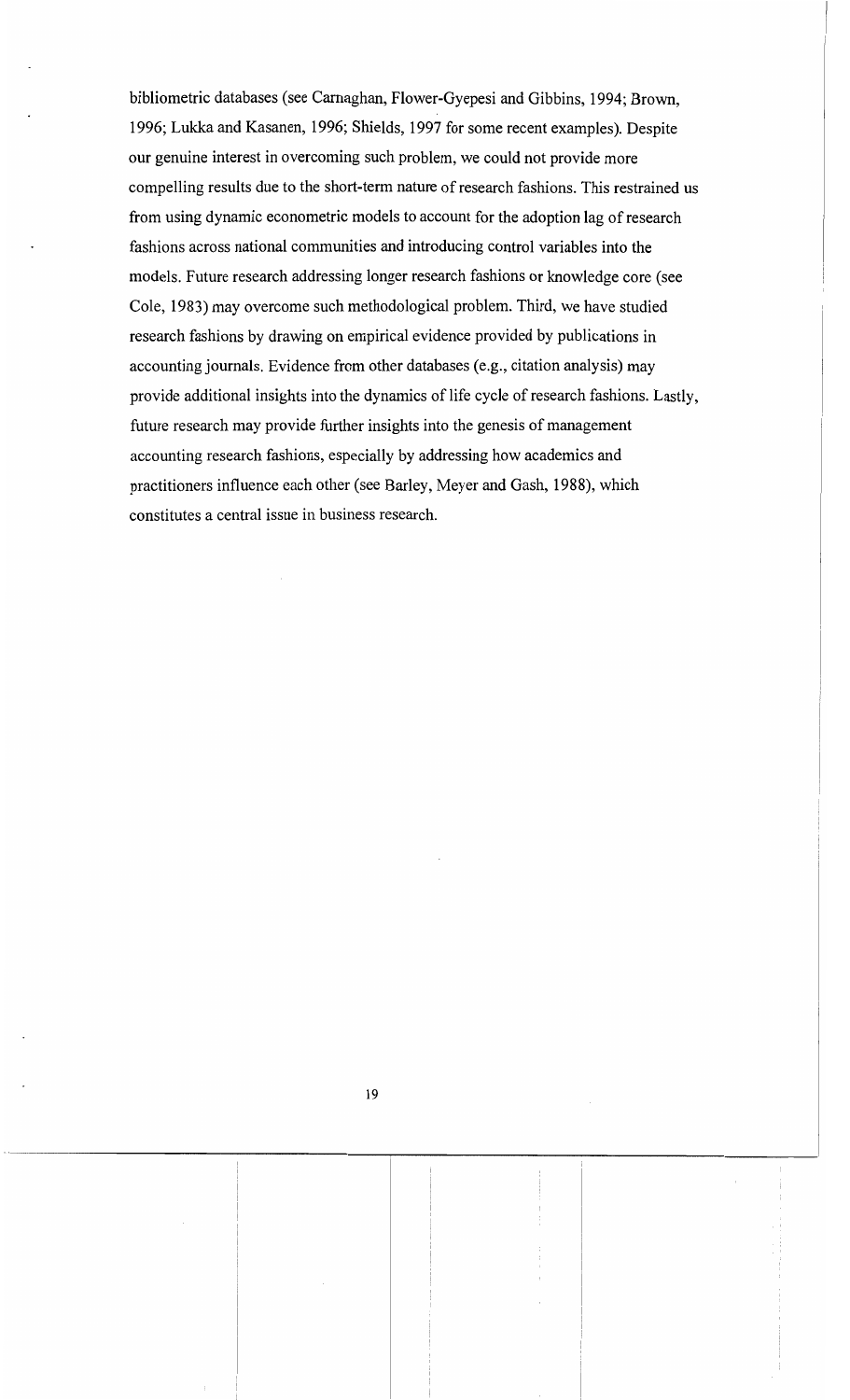bibliometric databases (see Carnaghan, Flower-Gyepesi and Gibbins, 1994; Brown, 1996; Lukka and Kasanen, 1996; Shields, 1997 for some recent examples). Despite our genuine interest in overcoming such problem, we eould not provide more eompelling results due to the short-term nature of research fashions. This restrained us from using dynamic econometrie models to account for the adoption lag of researeh fashions across national communities and introducing control variables into the models. Future research addressing longer research fashions or knowledge eore (see Cole, 1983) may overcome such methodological problem. Third, we have studied research fashions by drawing on empirical evidence provided by publications in accounting journals. Evidence from other databases (e.g., citation analysis) may provide additional insights into the dynamies of life cycle of research fashions. Lastly, future research may provide further insights into the genesis of management accounting research fashions, especially by addressing how academics and practitioners influence each other (see Barley, Meyer and Gash, 1988), which constitutes a central issue in business research.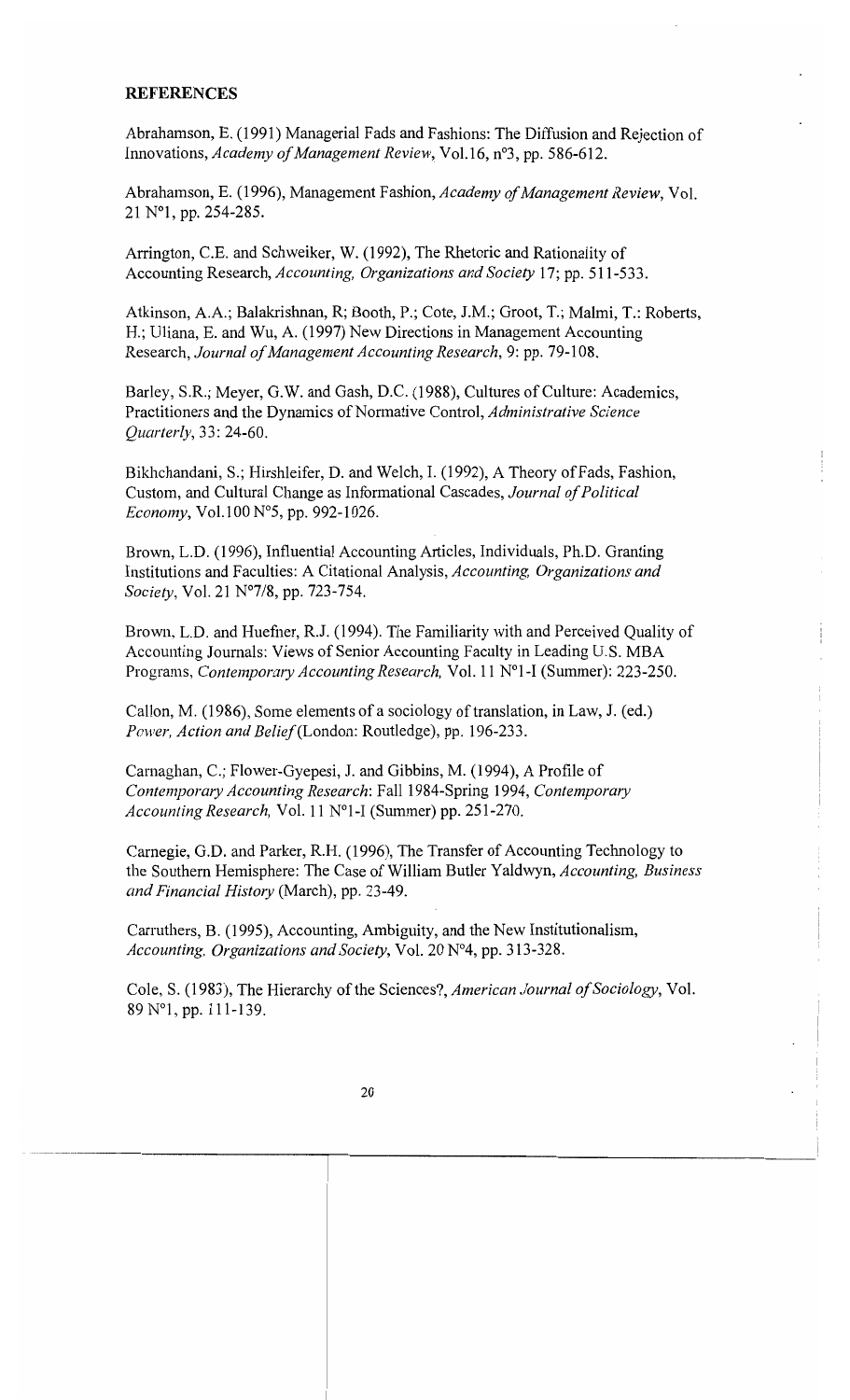#### **REFERENCES**

Abrahamson, E. (1991) Managerial Fads and Fashions: The Diffusion and Rejection of Innovations, *Academy of Management Review*, Vol.16, n°3, pp. 586-612.

Abrahamson, E. (1996), Management Fashion, *Academy of Management Review*, Vol. 21 N°l, pp. 254-285.

Arrington, C.E. and Schweiker, W. (1992), The Rhetoric and Rationality of Accounting Research, *Accounting, Organizations and Society* 17; pp. 511-533.

Atkinson, A.A.; Balakrishnan, R; Booth, P.; Cote, J.M.; Groot, T.; Malmi, T.: Roberts, H.; Uliana, E. and Wu, A (1997) New Directions in Management Accounting Research, *Journal ofManagement Accounting Research,* 9: pp. 79-108.

Barley, S.R.; Meyer, G.W. and Gash, D.C. (1988), Cultures of Culture: Academics, Practitioners and the Dynamics of Normative Control, *Administrative Science Quarterly,* 33: 24-60.

Bikhchandani, S.; Hirshleifer, D. and Welch, I. (1992), A Theory of Fads, Fashion, Custom, and Cultural Change as Informational Cascades, *Journal of Political Economy*, Vol.100 N°5, pp. 992-1026.

Brown, L.D. (1996), Influential Accounting Articles, Individuals, Ph.D. Granting Institutions and Faculties: A Citational Analysis, *Accounting, Organizations and Society,* Vol. 21 *N°7/8,* pp. 723-754.

Brown, L.D. and Huefner, RJ. (1994). The Familiarity with and Perceived Quality of Accounting Journals: Views of Senior Accounting Faculty in Leading U.S. MBA Programs, *Contemporary Accounting Research,* Vol. 11 N°I-I (Summer): 223-250.

Callon, M. (1986), Some elements of a sociology of translation, in Law, J. (ed.) *Power, Action and Belief(London:* Routledge), pp. 196-233.

Carnaghan, C.; Flower-Gyepesi, J. and Gibbins, M. (1994), A Profile of *Contemporary Accounting Research:* Fall 1984-Spring 1994, *Contemporary Accounting Research,* Vol. 11 N°I-I (Summer) pp. 251-270.

Carnegie, G.D. and Parker, R.H. (1996), The Transfer of Accounting Technology to the Southern Hemisphere: The Case of William Butler Yaldwyn, *Accounting, Business and Financial History* (March), pp. 23-49.

Carruthers, B. (1995), Accounting, Ambiguity, and the New Institutionalism, *Accounting, Organizations and Society,* Vol. 20 N°4, pp. 313-328.

Cole, S. (1983), The Hierarchy of the Sciences?, *American Journal of Sociology*, Vol. 89 N°l, pp. 111-139.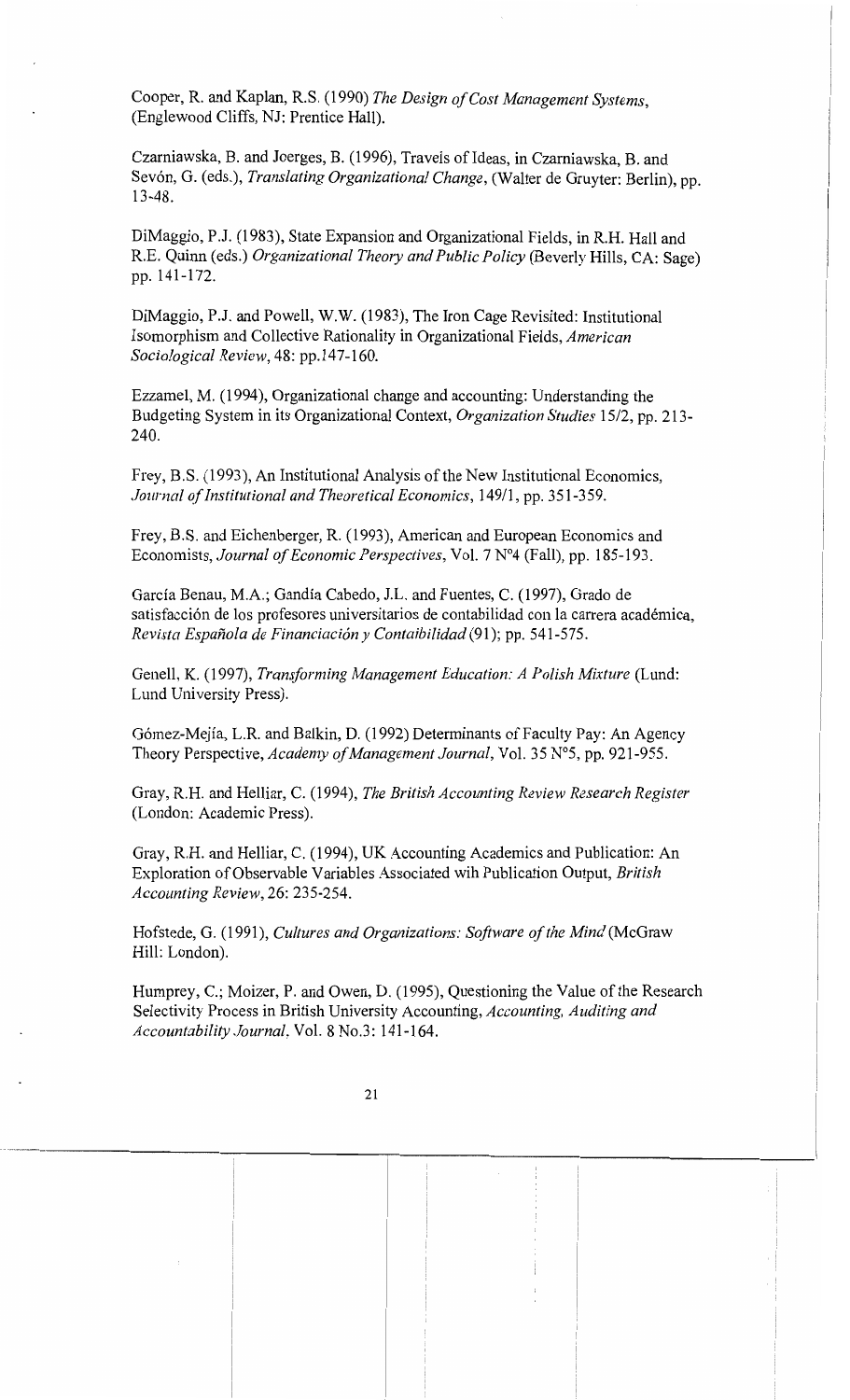Cooper, R. and Kaplan, R.S. (1990) *The Design ofCost Management Systems,*  (Englewood Cliffs, NJ: Prentice Hall).

Czarniawska, B. and Joerges, B. (1996), Travels of Ideas, in Czarniawska, B. and Sevón, G. (eds.), *Translating Organizational Change,* (Walter de Gruyter: Berlin), pp. 13-48.

DiMaggio, P.J. (1983), State Expansion and Organizational Fields, in R.H. Hall and R.E. Quinn (eds.) *Organizational Theory and Public Policy* (Bever1y Hills, CA: Sage) pp. 141-172.

DiMaggio, P.J. and Powell, W.W. (1983), The Iron Cage Revisited: Institutional Isomorphism and Collective Rationality in Organizational Fields, *American Sociological Review,* 48: pp.147-160.

Ezzamel, M. (1994), Organizational change and accounting: Understanding the Budgeting System in its Organizational Context, *Organization Studies* 15/2, pp. 213- 240.

Frey, B.S. (1993), An Institutional Analysis of the New Institutional Economics, *Journal ofInstitutional and Theoretical Economics,* 149/1, pp. 351-359.

Frey, B.S. and Eichenberger, R. (1993), American and European Economics and Economists, *Journal of Economic Perspectives*, Vol. 7 N°4 (Fall), pp. 185-193.

García Benau, M.A.; Gandía Cabedo, J.L. and Fuentes, C. (1997), Grado de satisfacción de los profesores universitarios de contabilidad con la carrera académica, *Revista Española de Financiación y Contaibilidad* (91); pp. 541-575.

Genell, K. (1997), *Transforming Management Education: A Polish Mixture* (Lund: Lund University Press).

Gómez-Mejía, L.R. and Balkin, D. (1992) Determinants of Faculty Pay: An Agency Theory Perspective, *Academy of Management Journal*, Vol. 35 N°5, pp. 921-955.

Gray, R.H. and Helliar, C. (1994), *The British Accounting Review Research Register* (London: Academic Press).

Gray, R.H. and Helliar, C. (1994), UK Accounting Academics and Publication: An Exploration of Observable Variables Associated wih Publication Output, *British Accounting Review,* 26: 235-254.

Hofstede, G. (1991), *Cultures and Organizations: Software ofthe Mind* (McGraw Hill: London).

Humprey, C.; Moizer, P. and Owen, D. (1995), Questioning the Value of the Research Selectivity Process in British University Accounting, *Accounting, Auditing and Accountability Journal,* Vol. 8 No.3: 141-164.

21

~~~---~-~--------~------¡-------------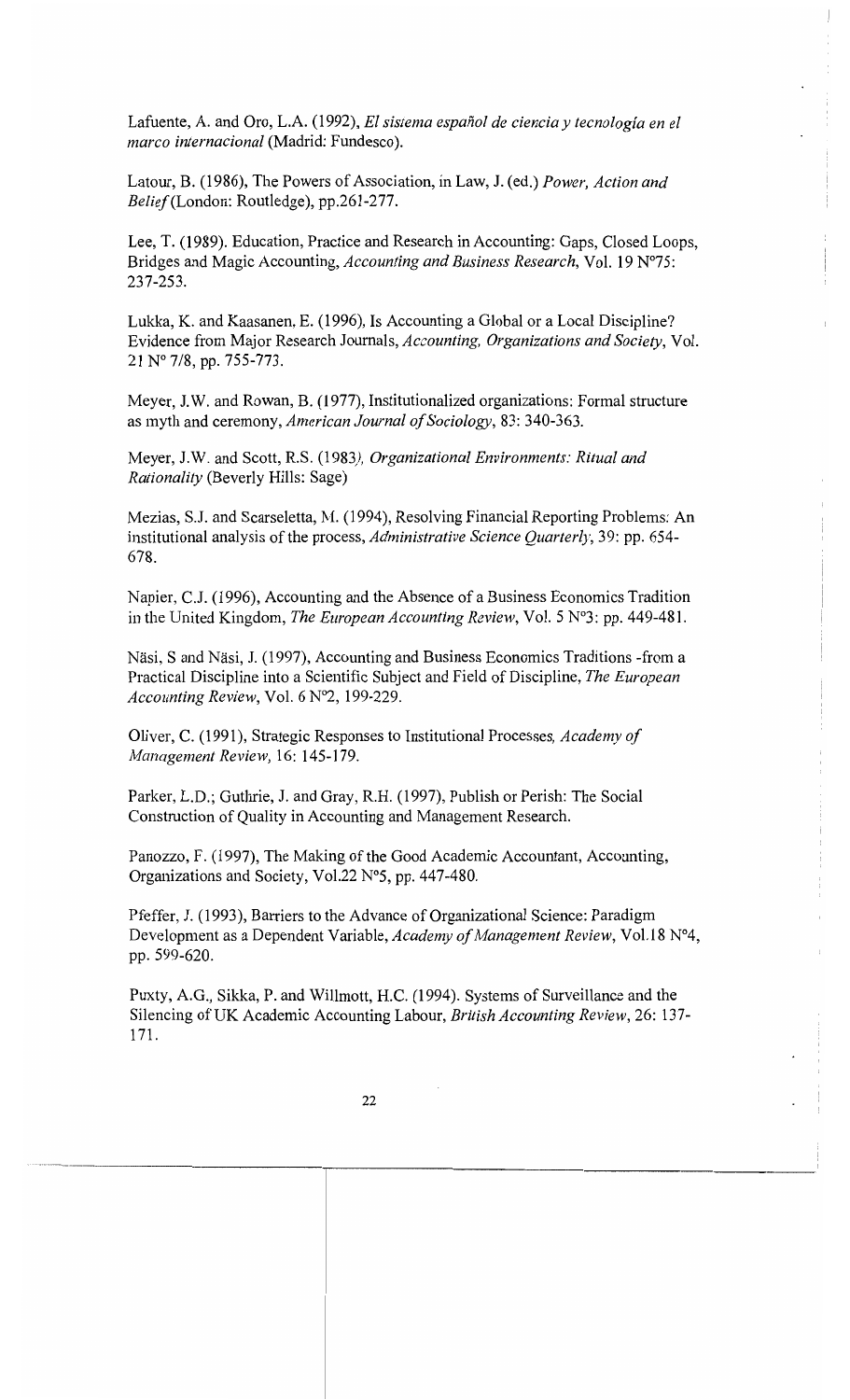Lafuente, A and Oro, L.A. (1992), *El sistema español de ciencia y tecnología en el marco internacional* (Madrid: Fundesco).

Latour, B. (1986), The Powers of Association, in Law, J. (ed.) *Power, Action and Belief(London:* Routledge), pp.261-277.

Lee, T. (1989). Education, Practice and Research in Accounting: Gaps, Closed Loops, Bridges and Magic Accounting, *Accounting and Business Research,* Vol. 19 N°75: 237-253.

Lukka, K. and Kaasanen, E. (1996), Is Accounting a Global or a Local Discipline? Evidence from Major Research Journals, *Accounting, Organizations and Society,* Vol. 21 N° 7/8, pp. 755-773.

Meyer, J.W. and Rowan, B. (1977), Institutionalized organizations: Formal structure as myth and ceremony, *American Journal ofSociology,* 83: 340-363.

Meyer, J.W. and Scott, R.S. (1983), *Organizational Environments: Ritual and Rationality* (Beverly Hills: Sage)

Mezias, S.J. and Scarseletta, M. (1994), Resolving Financial Reporting Problems: An institutional analysis of the process, *Administrative Science Quarterly*, 39: pp. 654-678.

Napier, C.J. (1996), Accounting and the Absence of a Business Economics Tradition in the United Kingdom, *The European Accounting Review,* Vol. 5 N°3: pp. 449-481.

Näsi, S and Näsi, J. (1997), Accounting and Business Economics Traditions -from a Practical Discipline into a Scientific Subject and Field of Discipline, *The European Accounting Review,* Vol. 6 N°2, 199-229.

Oliver, C. (1991), Strategic Responses to Institutional Processes, *Academy of Management Review,* 16: 145-179.

Parker, L.D.; Guthrie, J. and Gray, R.H. (1997), Publish or Perish: The Social Construction of Quality in Accounting and Management Research.

Panozzo, F. (1997), The Making of the Good Academic Accountant, Accounting, Organizations and Society, Vol.22 N°5, pp. 447-480.

Pfeffer, J. (1993), Barriers to the Advance of Organizational Science: Paradigm Development as a Dependent Variable, *Academy of Management Review*, Vol.18 N°4, pp. 599-620.

Puxty, AG., Sikka, P. and Willmott, RC. (1994). Systems of Surveillance and the Silencing ofUK Academic Accounting Labour, *British Accounting Review,* 26: 137- 171.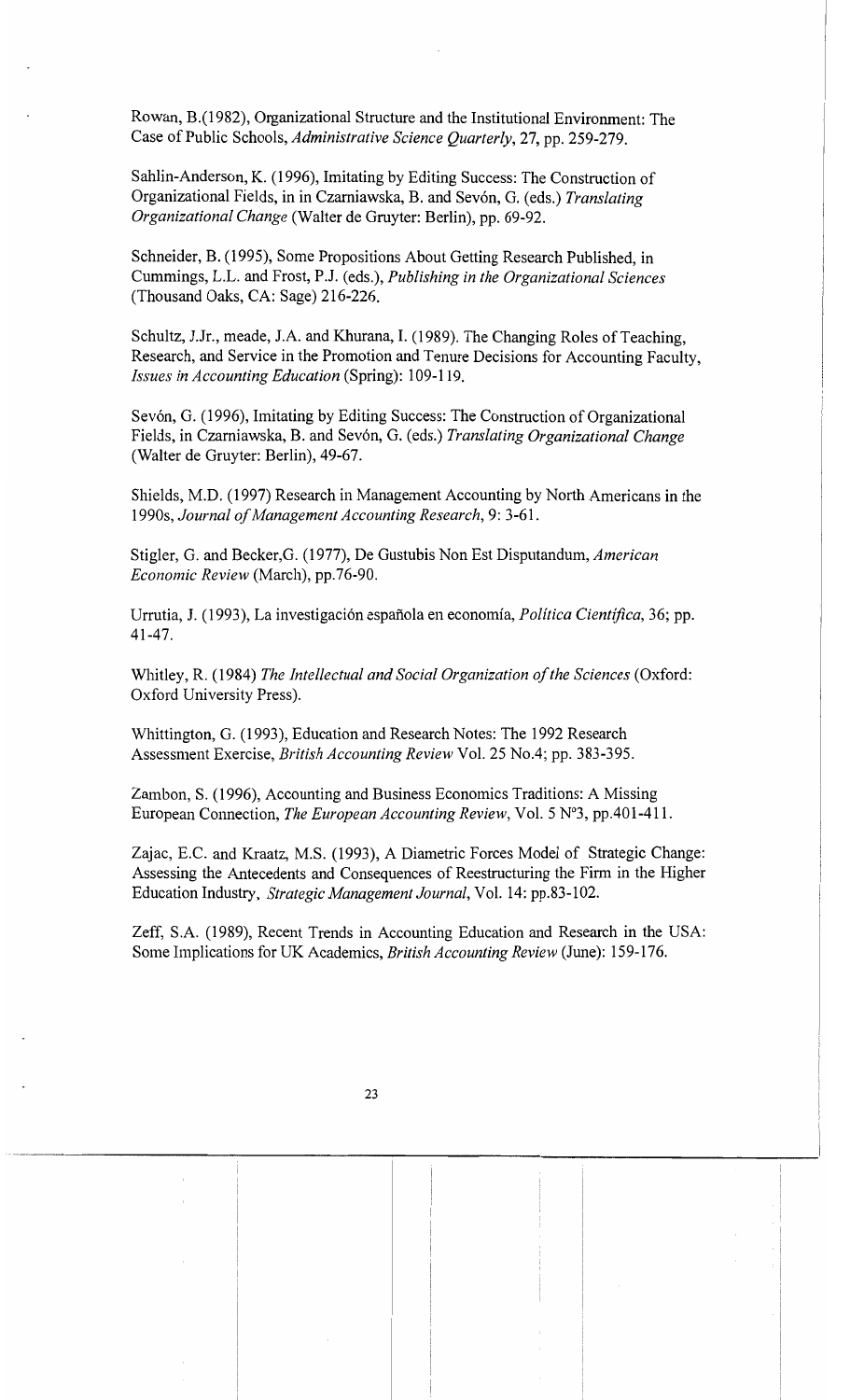Rowan, B.(l982), Organizational Structure and the Institutional Environment: The Case of Public Schools, *Administrative Science Quarterly*, 27, pp. 259-279.

Sahlin-Anderson, K. (1996), Imitating by Editing Success: The Construction of Organizational Fields, in in Czarniawska, B. and Sevón, G. (eds.) *Translating Organizational Change* (Walter de Gruyter: Berlin), pp. 69-92.

Schneider, B. (1995), Some Propositions About Getting Research Published, in Cummings, L.L. and Frost, P.J. (eds.), *Publishing in the Organizational Sciences*  (Thousand Oaks, CA: Sage) 216-226.

Schultz, J.Jr., meade, J.A. and Khurana, I. (1989). The Changing Roles of Teaching, Research, and Service in the Promotion and Tenure Decisions for Accounting Faculty, *lssues in Accounting Education* (Spring): 109-119.

Sevón, G. (1996), Imitating by Editing Success: The Construction of Organizational Fields, in Czarniawska, B. and Sevón, G. (eds.) *Translating Organizational Change*  (Walter de Gruyter: Berlín), 49-67.

Shields, M.D. (1997) Research in Management Accounting by North Americans in the 1990s, *Journal ofManagement Accounting Research,* 9: 3-61.

Stigler, G. and Becker,G. (1977), De Gustubis Non Est Disputandum, *American ECOllomic Review* (March), pp.76-90.

Urrutia, J. (1993), La investigación española en economía, *Política Científica*, 36; pp. 41-47.

Whitley, R. (1984) *The lntellectual and Social Organization ofthe Sciences* (Oxford: Oxford University Press).

Whittington, G. (1993), Education and Research Notes: The 1992 Research Assessment Exercise, *British Accounting Review* Vol. 25 *NoA;* pp. 383-395.

Zambon, S. (1996), Accounting and Business Economics Traditions: A Missing European Connection, *The European Accounting Review*, Vol. 5 N°3, pp.401-411.

Zajac, E.C. and Kraatz, M.S. (1993), A Diametric Forces Model of Strategic Change: Assessing the Antecedents and Consequences of Reestructuring the Firrn in the Higher Education Industry, *Strategic Management Journal,* Vol. 14: pp.83-102.

Zeff, S.A. (1989), Recent Trends in Accounting Education and Research in the USA: Some Implications for UK Academics, *British Accounting Review* (June): 159-176.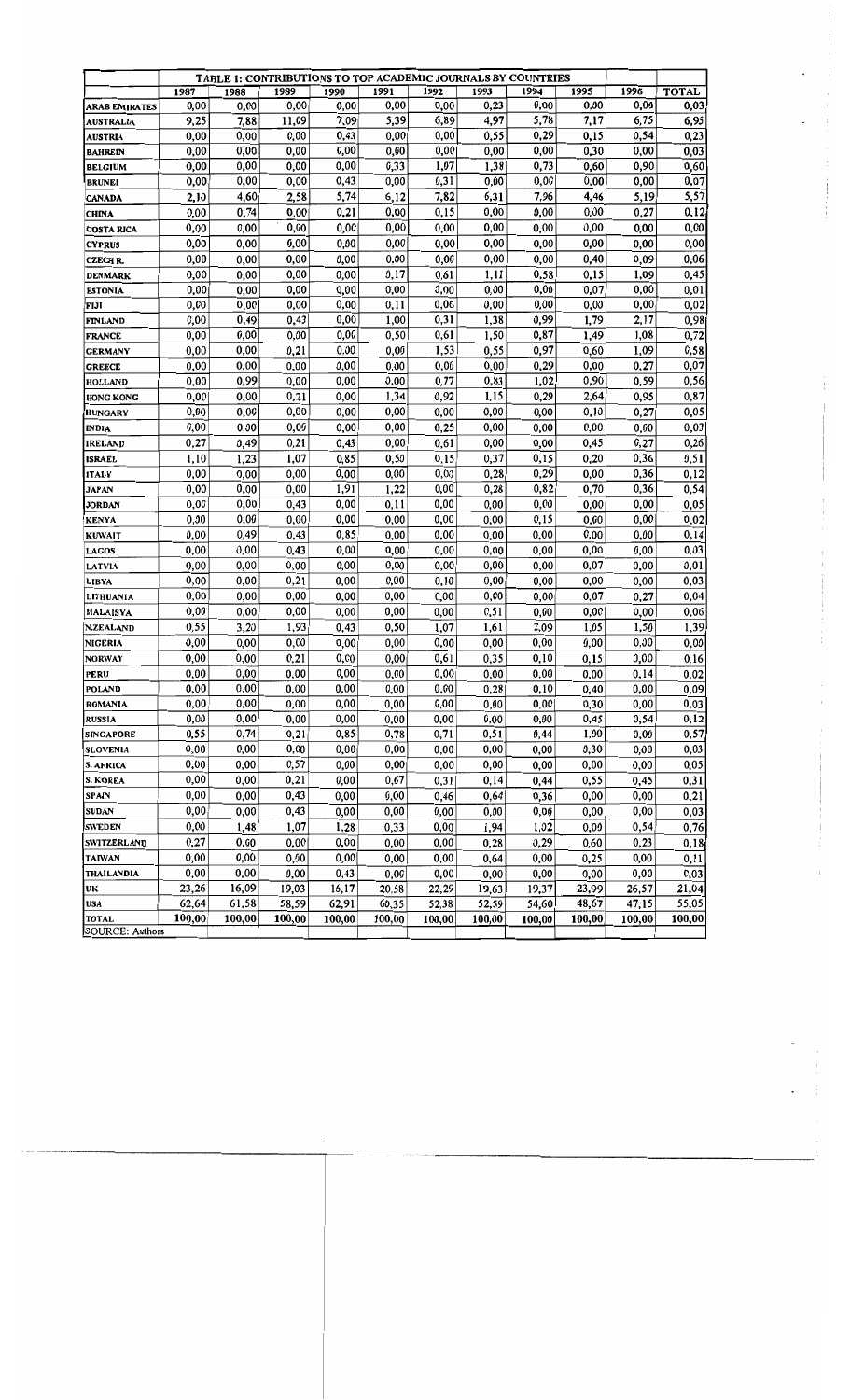|                        | TABLE 1: CONTRIBUTIONS TO TOP ACADEMIC JOURNALS BY COUNTRIES |          |        |        |           |        |        |        |        |        |              |
|------------------------|--------------------------------------------------------------|----------|--------|--------|-----------|--------|--------|--------|--------|--------|--------------|
|                        | 1987                                                         | 1988     | 1989   | 1990   | 1991      | 1992   | 1993   | 1994   | 1995   | 1996   | <b>TOTAL</b> |
| ARAB EMIRATES          | 0,00                                                         | 0,00     | 0,00   | 0,00   | 0,00      | 0,00   | 0,23   | 0,00   | 0,00   | 0,00   | 0,03         |
| <b>AUSTRALIA</b>       | 9.25                                                         | 7,88     | 11,09  | 7,09   | 5,39      | 6,89   | 4.97   | 5,78   | 7,17   | 6,75   | 6,95         |
| <b>AUSTRIA</b>         | 0.00                                                         | 0,00     | 0.00   | 0.43   | 0,00      | 0,00   | 0,55   | 0.29   | 0.15   | 0,54   | 0,23         |
| <b>BAHREIN</b>         | 0,00                                                         | 0,00     | 0,00   | 0,00   | 0,00      | 0.00   | 0,00   | 0,00   | 0,30   | 0,00   | 0,03         |
| <b>BELGIUM</b>         | 0,00                                                         | 0,00     | 0,00   | 0,00   | 0,33      | 1,07   | 1,38   | 0,73   | 0,60   | 0,90   | 0,60         |
| <b>BRUNEI</b>          | 0,00                                                         | 0,00     | 0,00   | 0,43   | 0,00      | 0,31   | 0,00   | 0,00   | 0,00   | 0,00   | 0,07         |
| <b>CANADA</b>          | 2,10                                                         | 4,60     | 2,58   | 5,74   | 6,12      | 7,82   | 6,31   | 7,96   | 4,46   | 5,19   | 5,57         |
| <b>CHINA</b>           | 0,00                                                         | 0,74     | 0,00   | 0,21   | 0,00      | 0,15   | 0,00   | 0,00   | 0,00   | 0,27   | 0,12         |
| <b>COSTA RICA</b>      | 0,00                                                         | 0,00     | 0,00   | 0,00   | 0,00      | 0,00   | 0,00   | 0.00   | 0,00   | 0,00   | 0,00         |
| <b>CYPRUS</b>          | 0,00                                                         | 0,00     | 0,00   | 0,00   | 0,00      | 0,00   | 0,00   | 0,00   | 0,00   | 0,00   | 0,00         |
| <b>CZECH R.</b>        | 0,00                                                         | 0,00     | 0,00   | 0,00   | 0,00      | 0,00   | 0,00   | 0,00   | 0,40   | 0,09   | 0,06         |
| <b>DENMARK</b>         | 0,00                                                         | 0,00     | 0,00   | 0,00   | 0,17      | 0,61   | 1,11   | 0,58   | 0,15   | 1,09   | 0,45         |
| <b>ESTONIA</b>         | 0,00                                                         | 0,00     | 0,00   | 0,00   | 0,00      | 0,00   | 0,00   | 0,00   | 0,07   | 0.00   | 0,01         |
| FIJI                   | 0,00                                                         | 0,00     | 0,00   | 0,00   | 0,11      | 0,06   | 0,00   | 0,00   | 0,00   | 0,00   | 0,02         |
| <b>FINLAND</b>         | 0,00                                                         | 0,49     | 0,43   | 0,00   | 1,00      | 0,31   | 1,38   | 0,99   | 1,79   | 2,17   | 0,98         |
| <b>FRANCE</b>          | 0,00                                                         | 0,00     | 0,00   | 0,00   | 0,50      | 0,61   | 1,50   | 0,87   | 1,49   | 1,08   | 0,72         |
| <b>GERMANY</b>         | 0,00                                                         | 0,00     | 0,21   | 0,00   | 0,00      | 1,53   | 0,55   | 0.97   | 0,60   | 1,09   | 0,58         |
| <b>GREECE</b>          | 0,00                                                         | 0,00     | 0,00   | 0,00   | 0,00      | 0,00   | 0,00   | 0,29   | 0,00   | 0,27   | 0,07         |
| <b>HOLLAND</b>         | 0,00                                                         | 0,99     | 0,00   | 0,00   | 0,00      | 0,77   | 0,83   | 1,02   | 0,90   | 0,59   | 0,56         |
| <b>HONG KONG</b>       | 0,00                                                         | 0,00     | 0,21   | 0,00   | 1,34      | 0.92   | 1,15   | 0,29   | 2,64   | 0.95   | 0,87         |
| <b>HUNGARY</b>         | 0.00                                                         | 0,00     | 0,00   | 0,00   | 0,00      | 0,00   | 0,00   | 0,00   | 0,10   | 0,27   | 0,05         |
| <b>INDIA</b>           | 0,00                                                         | 0,00     | 0,00   | 0,00   | 0,00      | 0,25   | 0,00   | 0,00   | 0,00   | 0,00   | 0,03         |
| <b>IRELAND</b>         | 0,27                                                         | 0,49     | 0,21   | 0,43   | 0,00      | 0,61   | 0,00   | 0,00   | 0,45   | 0,27   | 0,26         |
| <b>ISRAEL</b>          | 1,10                                                         | 1,23     | 1,07   | 0.85   | 0,50      | 0.15   | 0,37   | 0,15   | 0,20   | 0,36   | 0, 51        |
| <b>ITALY</b>           | 0,00                                                         | 0,00     | 0,00   | 0,00   | 0,00      | 0,00   | 0,28   | 0,29   | 0,00   | 0,36   | 0,12         |
| <b>JAPAN</b>           | 0,00                                                         | 0,00     | 0,00   | 1,91   | 1,22      | 0,00   | 0,28   | 0,82   | 0,70   | 0,36   | 0,54         |
| <b>JORDAN</b>          | 0,00                                                         | 0,00     | 0,43   | 0,00   | 0,11      | 0,00   | 0,00   | 0,00   | 0,00   | 0,00   | 0,05         |
| <b>KENYA</b>           | 0,00                                                         | 0,00     | 0,00   | 0,00   | 0,00      | 0,00   | 0,00   | 0,15   | 0,00   | 0,00   | 0,02         |
| <b>KUWAIT</b>          | 0,00                                                         | 0,49     | 0,43   | 0,85   | 0,00      | 0,00   | 0,00   | 0,00   | 0,00   | 0,00   | 0,14         |
| <b>LACOS</b>           | 0,00                                                         | 0,00     | 0,43   | 0,00   | 0,00      | 0,00   | 0,00   | 0,00   | 0,00   | 0.00   | 0.03         |
| LATVIA                 | 0,00                                                         | 0,00     | 0,00   | 0,00   | 0,00      | 0,00   | 0,00   | 0,00   | 0,07   | 0,00   | 0,01         |
| LIBYA                  | 0,00                                                         | 0,00     | 0,21   | 0,00   | 0,00      | 0,10   | 0,00   | 0,00   | 0,00   | 0,00   | 0,03         |
| LITHUANIA              | 0.00                                                         | 0.00     | 0,00   | 0,00   | 0,00      | 0,00   | 0,00   | 0,00   | 0.07   | 0,27   | 0,04         |
| <b>MALAISYA</b>        | 0,00                                                         | 0,00     | 0,00   | 0,00   | 0,00      | 0,00   | 0, 51  | 0,00   | 0,00   | 0,00   | 0,06         |
| <b>N.ZEALAND</b>       | 0, 55                                                        | 3,20     | 1,93   | 0.43   | 0,50      | 1,07   | 1,61   | 2,09   | 1,05   | 1,50   | 1,39         |
| <b>NIGERIA</b>         | 0,00                                                         | 0,00     | 0,00   | 0,00   | 0,00      | 0,00   | 0,00   | 0,00   | 0,00   | 0,00   | 0,00         |
| <b>NORWAY</b>          | 0,00                                                         | 0,00     | 0,21   | 0,00   | 0,00      | 0,61   | 0,35   | 0.10   | 0,15   | 0,00   | 0,16         |
| <b>PERU</b>            | 0,00                                                         | 0,00     | 0,00   | 0,00   | 0,00      | 0,00   | 0,00   | 0,00   | 0,00   | 0,14   | 0,02         |
| <b>POLAND</b>          | $_{0,00}$                                                    | $0,\!00$ | 0,00   | 0,00   | $_{0,00}$ | 0,00   | 0,28   | 0,10   | 0,40   | 0,00   | 0,09         |
| <b>ROMANIA</b>         | 0,00                                                         | 0,00     | 0,00   | 0,00   | 0,00      | 0,00   | 0,00   | 0,00   | 0,30   | 0,00   | 0,03         |
| <b>RUSSIA</b>          | 0,00                                                         | 0,00     | 0,00   | 0,00   | 0,00      | 0,00   | 0,00   | 0,00   | 0,45   | 0,54   | 0,12         |
| <b>SINGAPORE</b>       | 0,55                                                         | 0,74     | 0,21   | 0,85   | 0,78      | 0,71   | 0, 51  | 0,44   | 1,00   | 0,00   | 0,57         |
| <b>SLOVENIA</b>        | 0,00                                                         | 0,00     | 0,00   | 0,00   | 0,00      | 0,00   | 0,00   | 0,00   | 0,30   | 0,00   | 0,03         |
| <b>S. AFRICA</b>       | 0,00                                                         | 0,00     | 0,57   | 0,00   | 0,00      | 0,00   | 0,00   | 0,00   | 0,00   | 0,00   | 0,05         |
| <b>S. KOREA</b>        | 0,00                                                         | 0,00     | 0,21   | 0,00   | 0,67      | 0,31   | 0,14   | 0,44   | 0,55   | 0,45   | 0,31         |
| <b>SPAIN</b>           | 0,00                                                         | 0,00     | 0,43   | 0,00   | 0,00      | 0,46   | 0,64   | 0,36   | 0,00   | 0,00   | 0,21         |
| <b>SUDAN</b>           | 0,00                                                         | 0,00     | 0,43   | 0,00   | 0,00      | 0,00   | 0,00   | 0,00   | 0,00   | 0,00   | 0,03         |
| <b>SWEDEN</b>          | 0,00                                                         | 1,48     | 1,07   | 1,28   | 0,33      | 0,00   | 1,94   | 1,02   | 0,00   | 0,54   | 0,76         |
| SWITZERLAND            | 0,27                                                         | 0,00     | 0,00   | 0,00   | 0,00      | 0,00   | 0,28   | 0,29   | 0,60   | 0,23   | 0,18         |
| <b>TAIWAN</b>          | 0,00                                                         | 0,00     | 0,00   | 0,00   | 0,00      | 0,00   | 0,64   | 0,00   | 0,25   | 0,00   | 0,11         |
| <b>THAILANDIA</b>      | 0,00                                                         | 0,00     | 0,00   | 0,43   | 0,00      | 0,00   | 0,00   | 0,00   | 0,00   | 0,00   | 0,03         |
| UK                     | 23,26                                                        | 16,09    | 19,03  | 16,17  | 20,58     | 22,29  | 19,63  | 19,37  | 23,99  | 26,57  | 21,04        |
| <b>USA</b>             | 62,64                                                        | 61,58    | 58,59  | 62,91  | 60,35     | 52,38  | 52,59  | 54,60  | 48,67  | 47,15  | 55,05        |
| <b>TOTAL</b>           | 100,00                                                       | 100,00   | 100,00 | 100,00 | 100,00    | 100,00 | 100,00 | 100,00 | 100,00 | 100,00 | 100,00       |
| <b>SOURCE: Authors</b> |                                                              |          |        |        |           |        |        |        |        |        |              |

 $\begin{array}{c} \begin{array}{c} 1 \\ 1 \\ 1 \end{array} \\ \begin{array}{c} 1 \\ 1 \end{array} \end{array}$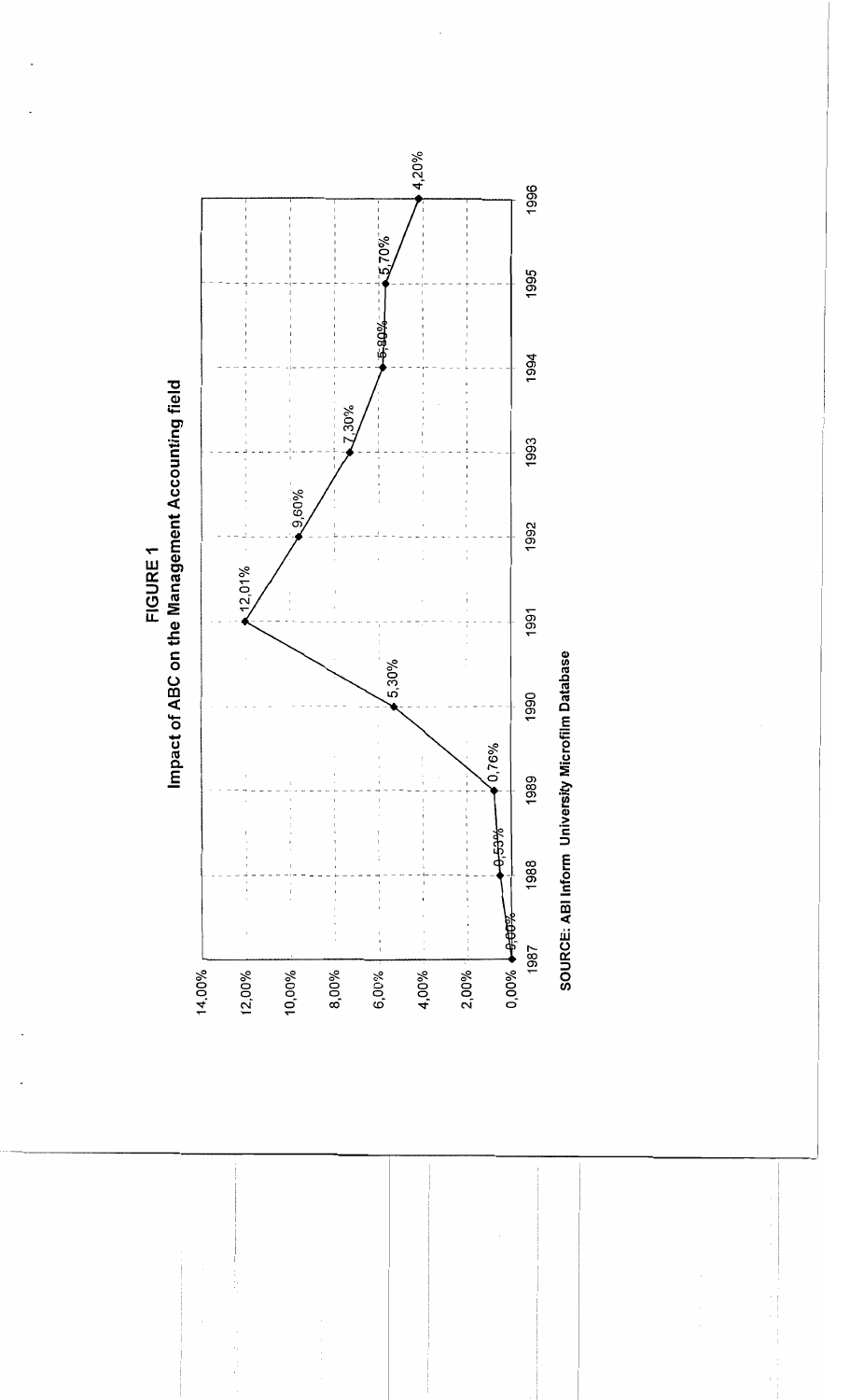

Impact of ABC on the Management Accounting field FIGURE 1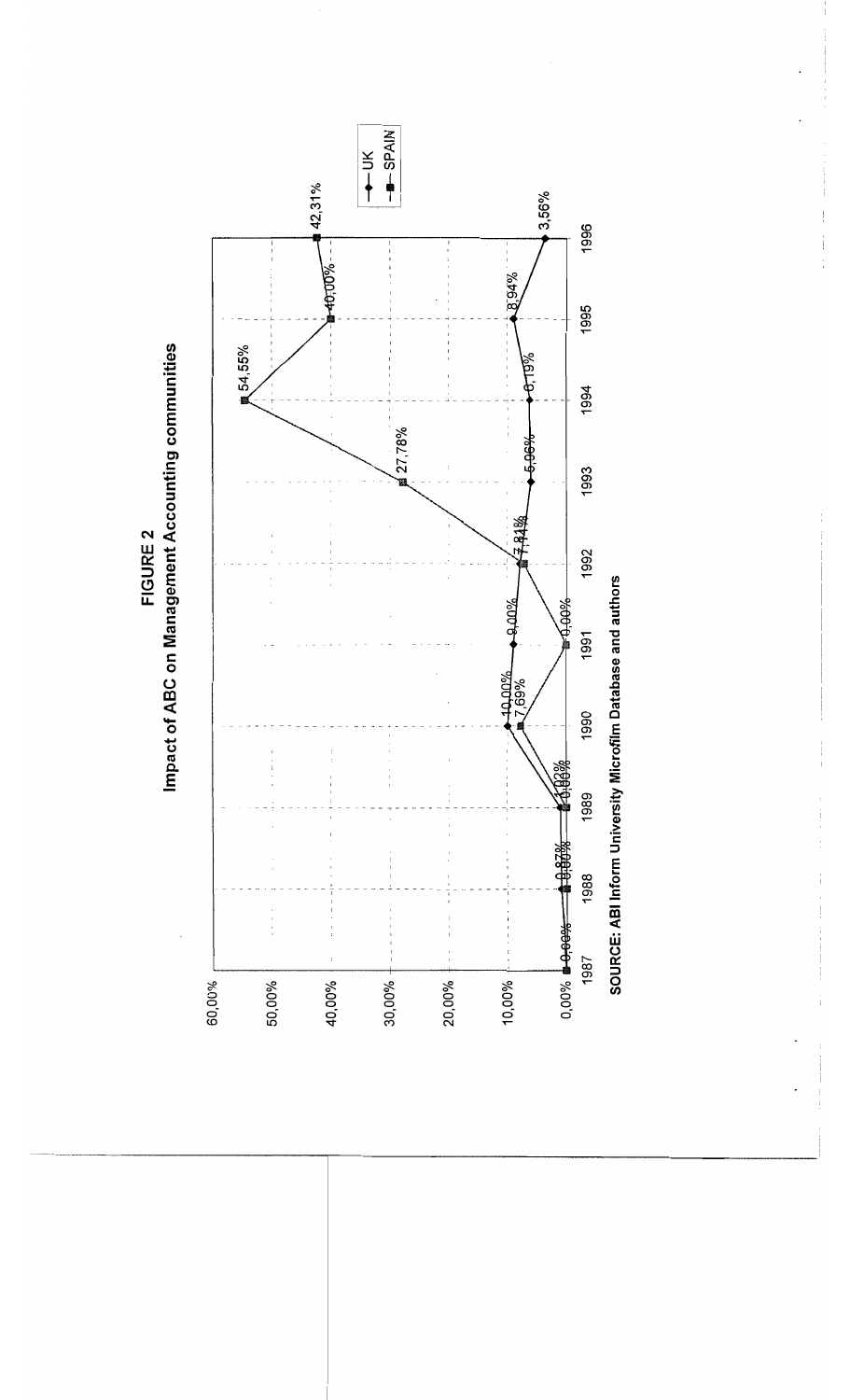Impact of ABC on Management Accounting communities FIGURE 2



 $\begin{array}{c} \vdots \\ \vdots \\ \vdots \end{array}$ 

 $\frac{1}{2}$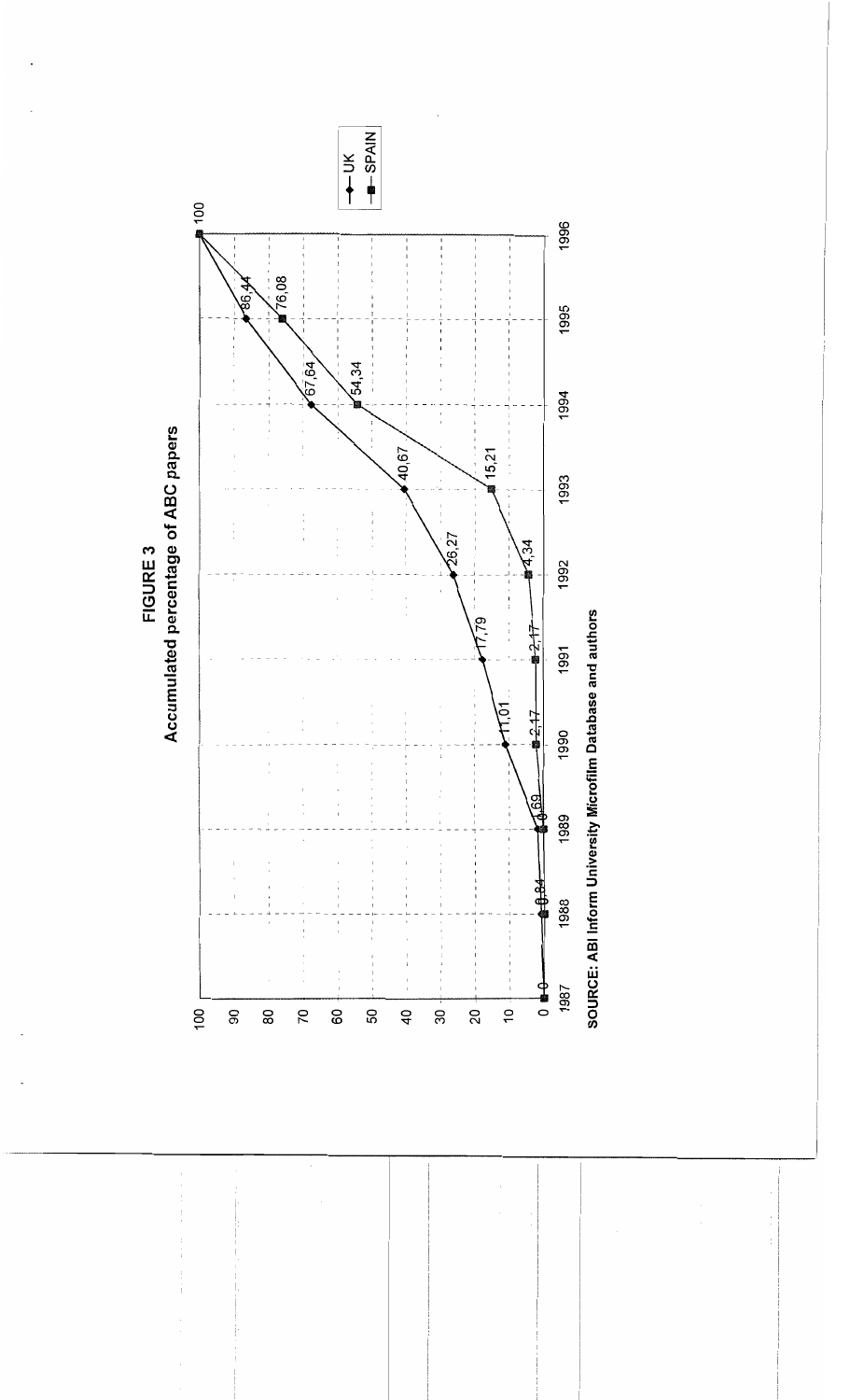

FIGURE 3